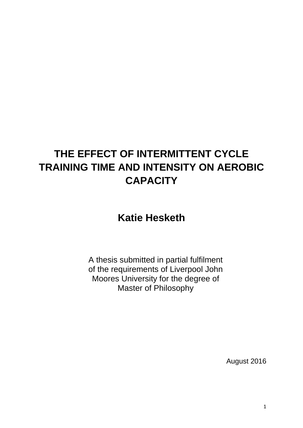### **THE EFFECT OF INTERMITTENT CYCLE TRAINING TIME AND INTENSITY ON AEROBIC CAPACITY**

### **Katie Hesketh**

A thesis submitted in partial fulfilment of the requirements of Liverpool John Moores University for the degree of Master of Philosophy

August 2016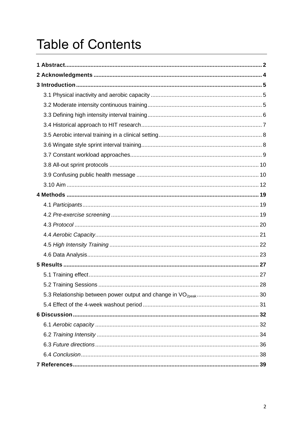# <span id="page-1-0"></span>**Table of Contents**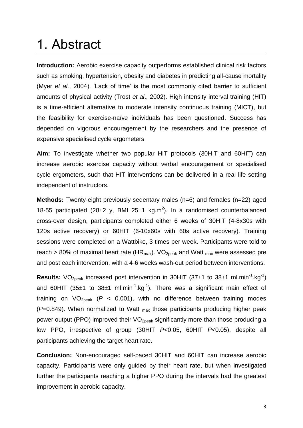## 1. Abstract

**Introduction:** Aerobic exercise capacity outperforms established clinical risk factors such as smoking, hypertension, obesity and diabetes in predicting all-cause mortality (Myer *et al.*, 2004). 'Lack of time' is the most commonly cited barrier to sufficient amounts of physical activity (Trost *et al*., 2002). High intensity interval training (HIT) is a time-efficient alternative to moderate intensity continuous training (MICT), but the feasibility for exercise-naïve individuals has been questioned. Success has depended on vigorous encouragement by the researchers and the presence of expensive specialised cycle ergometers.

**Aim:** To investigate whether two popular HIT protocols (30HIT and 60HIT) can increase aerobic exercise capacity without verbal encouragement or specialised cycle ergometers, such that HIT interventions can be delivered in a real life setting independent of instructors.

**Methods:** Twenty-eight previously sedentary males (n=6) and females (n=22) aged 18-55 participated (28 $\pm$ 2 y, BMI 25 $\pm$ 1 kg.m<sup>2</sup>). In a randomised counterbalanced cross-over design, participants completed either 6 weeks of 30HIT (4-8x30s with 120s active recovery) or 60HIT (6-10x60s with 60s active recovery). Training sessions were completed on a Wattbike, 3 times per week. Participants were told to reach > 80% of maximal heart rate ( $HR_{max}$ ). VO<sub>2peak</sub> and Watt <sub>max</sub> were assessed pre and post each intervention, with a 4-6 weeks wash-out period between interventions.

**Results:** VO<sub>2peak</sub> increased post intervention in 30HIT (37 $\pm$ 1 to 38 $\pm$ 1 ml.min<sup>-1</sup>.kg<sup>-1</sup>) and 60HIT (35 $\pm$ 1 to 38 $\pm$ 1 ml.min<sup>-1</sup>.kg<sup>-1</sup>). There was a significant main effect of training on  $VO<sub>2peak</sub>$  ( $P < 0.001$ ), with no difference between training modes (*P*=0.849). When normalized to Watt max those participants producing higher peak power output (PPO) improved their  $VO_{2peak}$  significantly more than those producing a low PPO, irrespective of group (30HIT *P*<0.05, 60HIT *P*<0.05), despite all participants achieving the target heart rate.

**Conclusion:** Non-encouraged self-paced 30HIT and 60HIT can increase aerobic capacity. Participants were only guided by their heart rate, but when investigated further the participants reaching a higher PPO during the intervals had the greatest improvement in aerobic capacity.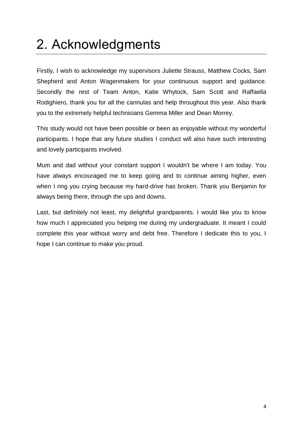# <span id="page-3-0"></span>2. Acknowledgments

Firstly, I wish to acknowledge my supervisors Juliette Strauss, Matthew Cocks, Sam Shepherd and Anton Wagenmakers for your continuous support and guidance. Secondly the rest of Team Anton, Katie Whytock, Sam Scott and Raffaella Rodighiero, thank you for all the cannulas and help throughout this year. Also thank you to the extremely helpful technicians Gemma Miller and Dean Morrey.

This study would not have been possible or been as enjoyable without my wonderful participants. I hope that any future studies I conduct will also have such interesting and lovely participants involved.

Mum and dad without your constant support I wouldn't be where I am today. You have always encouraged me to keep going and to continue aiming higher, even when I ring you crying because my hard-drive has broken. Thank you Benjamin for always being there, through the ups and downs.

Last, but definitely not least, my delightful grandparents. I would like you to know how much I appreciated you helping me during my undergraduate. It meant I could complete this year without worry and debt free. Therefore I dedicate this to you, I hope I can continue to make you proud.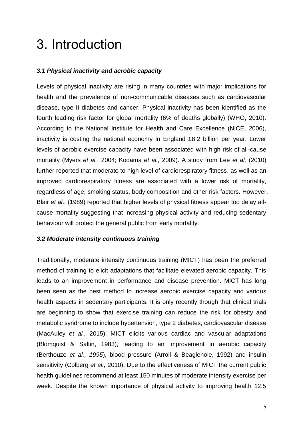## <span id="page-4-0"></span>3. Introduction

#### <span id="page-4-1"></span>*3.1 Physical inactivity and aerobic capacity*

Levels of physical inactivity are rising in many countries with major implications for health and the prevalence of non-communicable diseases such as cardiovascular disease, type II diabetes and cancer. Physical inactivity has been identified as the fourth leading risk factor for global mortality (6% of deaths globally) (WHO, 2010). According to the National Institute for Health and Care Excellence (NICE, 2006), inactivity is costing the national economy in England £8.2 billion per year. Lower levels of aerobic exercise capacity have been associated with high risk of all-cause mortality (Myers *et al.*, 2004; Kodama *et al.,* 2009). A study from Lee *et al.* (2010) further reported that moderate to high level of cardiorespiratory fitness, as well as an improved cardiorespiratory fitness are associated with a lower risk of mortality, regardless of age, smoking status, body composition and other risk factors. However, Blair *et al*., (1989) reported that higher levels of physical fitness appear too delay allcause mortality suggesting that increasing physical activity and reducing sedentary behaviour will protect the general public from early mortality.

#### <span id="page-4-2"></span>*3.2 Moderate intensity continuous training*

Traditionally, moderate intensity continuous training (MICT) has been the preferred method of training to elicit adaptations that facilitate elevated aerobic capacity. This leads to an improvement in performance and disease prevention. MICT has long been seen as the best method to increase aerobic exercise capacity and various health aspects in sedentary participants. It is only recently though that clinical trials are beginning to show that exercise training can reduce the risk for obesity and metabolic syndrome to include hypertension, type 2 diabetes, cardiovascular disease (MacAuley *et al.,* 2015). MICT elicits various cardiac and vascular adaptations (Blomquist & Saltin, 1983), leading to an improvement in aerobic capacity (Berthouze *et al., 1995*), blood pressure (Arroll & Beaglehole, 1992) and insulin sensitivity (Colberg *et al.,* 2010). Due to the effectiveness of MICT the current public health guidelines recommend at least 150 minutes of moderate intensity exercise per week. Despite the known importance of physical activity to improving health 12.5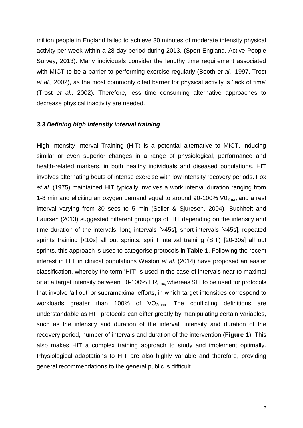million people in England failed to achieve 30 minutes of moderate intensity physical activity per week within a 28-day period during 2013. (Sport England, Active People Survey, 2013). Many individuals consider the lengthy time requirement associated with MICT to be a barrier to performing exercise regularly (Booth *et al*.; 1997, Trost *et al.,* 2002), as the most commonly cited barrier for physical activity is 'lack of time' (Trost *et al.,* 2002). Therefore, less time consuming alternative approaches to decrease physical inactivity are needed.

#### <span id="page-5-0"></span>*3.3 Defining high intensity interval training*

High Intensity Interval Training (HIT) is a potential alternative to MICT, inducing similar or even superior changes in a range of physiological, performance and health-related markers, in both healthy individuals and diseased populations. HIT involves alternating bouts of intense exercise with low intensity recovery periods. Fox *et al.* (1975) maintained HIT typically involves a work interval duration ranging from 1-8 min and eliciting an oxygen demand equal to around 90-100%  $VO<sub>2max</sub>$  and a rest interval varying from 30 secs to 5 min (Seiler & Sjuresen, 2004). Buchheit and Laursen (2013) suggested different groupings of HIT depending on the intensity and time duration of the intervals; long intervals [>45s], short intervals [<45s], repeated sprints training [<10s] all out sprints, sprint interval training (SIT) [20-30s] all out sprints, this approach is used to categorise protocols in **Table 1**. Following the recent interest in HIT in clinical populations Weston *et al.* (2014) have proposed an easier classification, whereby the term 'HIT' is used in the case of intervals near to maximal or at a target intensity between 80-100%  $HR_{max}$  whereas SIT to be used for protocols that involve 'all out' or supramaximal efforts, in which target intensities correspond to workloads greater than 100% of  $VO<sub>2max</sub>$ . The conflicting definitions are understandable as HIT protocols can differ greatly by manipulating certain variables, such as the intensity and duration of the interval, intensity and duration of the recovery period, number of intervals and duration of the intervention (**Figure 1**). This also makes HIT a complex training approach to study and implement optimally. Physiological adaptations to HIT are also highly variable and therefore, providing general recommendations to the general public is difficult.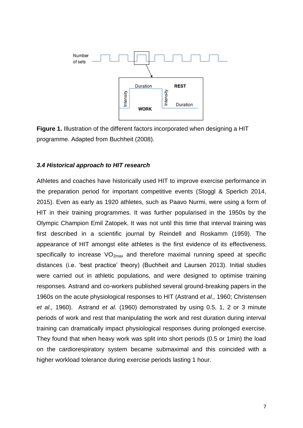

**Figure 1.** Illustration of the different factors incorporated when designing a HIT programme. Adapted from Buchheit (2008).

#### <span id="page-6-0"></span>*3.4 Historical approach to HIT research*

<span id="page-6-1"></span>Athletes and coaches have historically used HIT to improve exercise performance in the preparation period for important competitive events (Stoggl & Sperlich 2014, 2015). Even as early as 1920 athletes, such as Paavo Nurmi, were using a form of HIT in their training programmes. It was further popularised in the 1950s by the Olympic Champion Emil Zatopek. It was not until this time that interval training was first described in a scientific journal by Reindell and Roskamm (1959). The appearance of HIT amongst elite athletes is the first evidence of its effectiveness, specifically to increase  $VO<sub>2max</sub>$  and therefore maximal running speed at specific distances (i.e. 'best practice' theory) (Buchheit and Laursen 2013). Initial studies were carried out in athletic populations, and were designed to optimise training responses. Astrand and co-workers published several ground-breaking papers in the 1960s on the acute physiological responses to HIT (Astrand *et al.,* 1960; Christensen *et al.,* 1960). Astrand *et al.* (1960) demonstrated by using 0.5, 1, 2 or 3 minute periods of work and rest that manipulating the work and rest duration during interval training can dramatically impact physiological responses during prolonged exercise. They found that when heavy work was split into short periods (0.5 or 1min) the load on the cardiorespiratory system became submaximal and this coincided with a higher workload tolerance during exercise periods lasting 1 hour.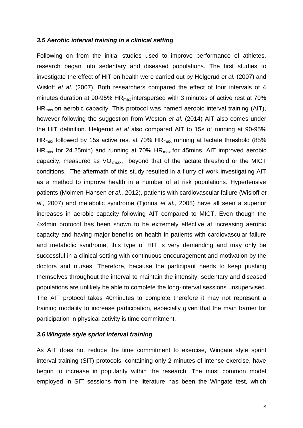#### *3.5 Aerobic interval training in a clinical setting*

Following on from the initial studies used to improve performance of athletes, research began into sedentary and diseased populations. The first studies to investigate the effect of HIT on health were carried out by Helgerud *et al.* (2007) and Wisloff *et al.* (2007). Both researchers compared the effect of four intervals of 4 minutes duration at 90-95%  $HR_{max}$  interspersed with 3 minutes of active rest at 70% HRmax on aerobic capacity. This protocol was named aerobic interval training (AIT), however following the suggestion from Weston *et al.* (2014) AIT also comes under the HIT definition. Helgerud *et al* also compared AIT to 15s of running at 90-95%  $HR_{max}$  followed by 15s active rest at 70%  $HR_{max}$  running at lactate threshold (85%  $HR_{max}$  for 24.25min) and running at 70%  $HR_{max}$  for 45mins. AIT improved aerobic capacity, measured as  $VO<sub>2max</sub>$ , beyond that of the lactate threshold or the MICT conditions. The aftermath of this study resulted in a flurry of work investigating AIT as a method to improve health in a number of at risk populations. Hypertensive patients (Molmen-Hansen *et al.,* 2012), patients with cardiovascular failure (Wisloff *et al.,* 2007) and metabolic syndrome (Tjonna *et al.,* 2008) have all seen a superior increases in aerobic capacity following AIT compared to MICT. Even though the 4x4min protocol has been shown to be extremely effective at increasing aerobic capacity and having major benefits on health in patients with cardiovascular failure and metabolic syndrome, this type of HIT is very demanding and may only be successful in a clinical setting with continuous encouragement and motivation by the doctors and nurses. Therefore, because the participant needs to keep pushing themselves throughout the interval to maintain the intensity, sedentary and diseased populations are unlikely be able to complete the long-interval sessions unsupervised. The AIT protocol takes 40minutes to complete therefore it may not represent a training modality to increase participation, especially given that the main barrier for participation in physical activity is time commitment.

#### <span id="page-7-0"></span>*3.6 Wingate style sprint interval training*

As AIT does not reduce the time commitment to exercise, Wingate style sprint interval training (SIT) protocols, containing only 2 minutes of intense exercise, have begun to increase in popularity within the research. The most common model employed in SIT sessions from the literature has been the Wingate test, which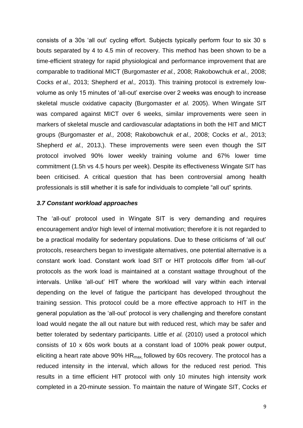consists of a 30s 'all out' cycling effort. Subjects typically perform four to six 30 s bouts separated by 4 to 4.5 min of recovery. This method has been shown to be a time-efficient strategy for rapid physiological and performance improvement that are comparable to traditional MICT (Burgomaster *et al.,* 2008; Rakobowchuk *et al.,* 2008; Cocks *et al.,* 2013; Shepherd *et al.,* 2013). This training protocol is extremely lowvolume as only 15 minutes of 'all-out' exercise over 2 weeks was enough to increase skeletal muscle oxidative capacity (Burgomaster *et al.* 2005). When Wingate SIT was compared against MICT over 6 weeks, similar improvements were seen in markers of skeletal muscle and cardiovascular adaptations in both the HIT and MICT groups (Burgomaster *et al.,* 2008; Rakobowchuk *et al.,* 2008; Cocks *et al.,* 2013; Shepherd *et al.,* 2013,). These improvements were seen even though the SIT protocol involved 90% lower weekly training volume and 67% lower time commitment (1.5h vs 4.5 hours per week). Despite its effectiveness Wingate SIT has been criticised. A critical question that has been controversial among health professionals is still whether it is safe for individuals to complete "all out" sprints.

#### <span id="page-8-0"></span>*3.7 Constant workload approaches*

The 'all-out' protocol used in Wingate SIT is very demanding and requires encouragement and/or high level of internal motivation; therefore it is not regarded to be a practical modality for sedentary populations. Due to these criticisms of 'all out' protocols, researchers began to investigate alternatives, one potential alternative is a constant work load. Constant work load SIT or HIT protocols differ from 'all-out' protocols as the work load is maintained at a constant wattage throughout of the intervals. Unlike 'all-out' HIT where the workload will vary within each interval depending on the level of fatigue the participant has developed throughout the training session. This protocol could be a more effective approach to HIT in the general population as the 'all-out' protocol is very challenging and therefore constant load would negate the all out nature but with reduced rest, which may be safer and better tolerated by sedentary participants. Little *et al.* (2010) used a protocol which consists of 10 x 60s work bouts at a constant load of 100% peak power output, eliciting a heart rate above  $90\%$  HR<sub>max</sub> followed by 60s recovery. The protocol has a reduced intensity in the interval, which allows for the reduced rest period. This results in a time efficient HIT protocol with only 10 minutes high intensity work completed in a 20-minute session. To maintain the nature of Wingate SIT, Cocks *et*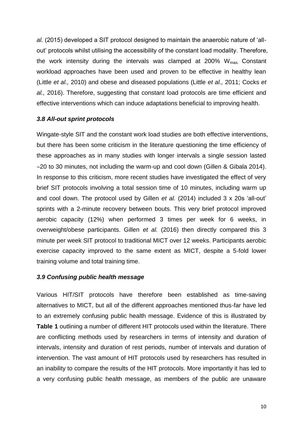*al.* (2015) developed a SIT protocol designed to maintain the anaerobic nature of 'allout' protocols whilst utilising the accessibility of the constant load modality. Therefore, the work intensity during the intervals was clamped at 200%  $W_{max}$ . Constant workload approaches have been used and proven to be effective in healthy lean (Little *et al.,* 2010) and obese and diseased populations (Little *et al.,* 2011; Cocks *et al.,* 2016). Therefore, suggesting that constant load protocols are time efficient and effective interventions which can induce adaptations beneficial to improving health.

#### <span id="page-9-0"></span>*3.8 All-out sprint protocols*

Wingate-style SIT and the constant work load studies are both effective interventions, but there has been some criticism in the literature questioning the time efficiency of these approaches as in many studies with longer intervals a single session lasted  $\sim$ 20 to 30 minutes, not including the warm-up and cool down (Gillen & Gibala 2014). In response to this criticism, more recent studies have investigated the effect of very brief SIT protocols involving a total session time of 10 minutes, including warm up and cool down. The protocol used by Gillen *et al.* (2014) included 3 x 20s 'all-out' sprints with a 2-minute recovery between bouts. This very brief protocol improved aerobic capacity (12%) when performed 3 times per week for 6 weeks, in overweight/obese participants. Gillen *et al.* (2016) then directly compared this 3 minute per week SIT protocol to traditional MICT over 12 weeks. Participants aerobic exercise capacity improved to the same extent as MICT, despite a 5-fold lower training volume and total training time.

#### <span id="page-9-1"></span>*3.9 Confusing public health message*

Various HIT/SIT protocols have therefore been established as time-saving alternatives to MICT, but all of the different approaches mentioned thus-far have led to an extremely confusing public health message. Evidence of this is illustrated by **Table 1** outlining a number of different HIT protocols used within the literature. There are conflicting methods used by researchers in terms of intensity and duration of intervals, intensity and duration of rest periods, number of intervals and duration of intervention. The vast amount of HIT protocols used by researchers has resulted in an inability to compare the results of the HIT protocols. More importantly it has led to a very confusing public health message, as members of the public are unaware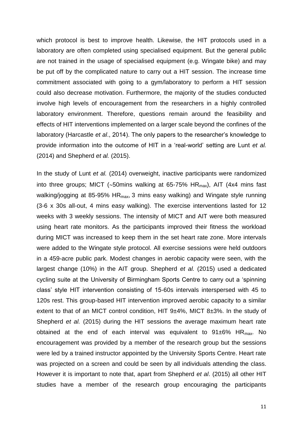which protocol is best to improve health. Likewise, the HIT protocols used in a laboratory are often completed using specialised equipment. But the general public are not trained in the usage of specialised equipment (e.g. Wingate bike) and may be put off by the complicated nature to carry out a HIT session. The increase time commitment associated with going to a gym/laboratory to perform a HIT session could also decrease motivation. Furthermore, the majority of the studies conducted involve high levels of encouragement from the researchers in a highly controlled laboratory environment. Therefore, questions remain around the feasibility and effects of HIT interventions implemented on a larger scale beyond the confines of the laboratory (Harcastle *et al*., 2014). The only papers to the researcher's knowledge to provide information into the outcome of HIT in a 'real-world' setting are Lunt *et al.* (2014) and Shepherd *et al.* (2015).

In the study of Lunt *et al.* (2014) overweight, inactive participants were randomized into three groups; MICT ( $\sim$ 50mins walking at 65-75% HR<sub>max</sub>), AIT (4x4 mins fast walking/jogging at 85-95%  $HR_{max}$ , 3 mins easy walking) and Wingate style running (3-6 x 30s all-out, 4 mins easy walking). The exercise interventions lasted for 12 weeks with 3 weekly sessions. The intensity of MICT and AIT were both measured using heart rate monitors. As the participants improved their fitness the workload during MICT was increased to keep them in the set heart rate zone. More intervals were added to the Wingate style protocol. All exercise sessions were held outdoors in a 459-acre public park. Modest changes in aerobic capacity were seen, with the largest change (10%) in the AIT group. Shepherd *et al.* (2015) used a dedicated cycling suite at the University of Birmingham Sports Centre to carry out a 'spinning class' style HIT intervention consisting of 15-60s intervals interspersed with 45 to 120s rest. This group-based HIT intervention improved aerobic capacity to a similar extent to that of an MICT control condition, HIT 9±4%, MICT 8±3%. In the study of Shepherd *et al.* (2015) during the HIT sessions the average maximum heart rate obtained at the end of each interval was equivalent to  $91\pm6\%$  HR<sub>max</sub>. No encouragement was provided by a member of the research group but the sessions were led by a trained instructor appointed by the University Sports Centre. Heart rate was projected on a screen and could be seen by all individuals attending the class. However it is important to note that, apart from Shepherd *et al*. (2015) all other HIT studies have a member of the research group encouraging the participants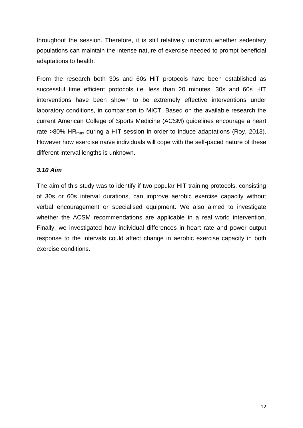throughout the session. Therefore, it is still relatively unknown whether sedentary populations can maintain the intense nature of exercise needed to prompt beneficial adaptations to health.

From the research both 30s and 60s HIT protocols have been established as successful time efficient protocols i.e. less than 20 minutes. 30s and 60s HIT interventions have been shown to be extremely effective interventions under laboratory conditions, in comparison to MICT. Based on the available research the current American College of Sports Medicine (ACSM) guidelines encourage a heart rate  $>80\%$  HR<sub>max</sub> during a HIT session in order to induce adaptations (Roy, 2013). However how exercise naïve individuals will cope with the self-paced nature of these different interval lengths is unknown.

#### <span id="page-11-0"></span>*3.10 Aim*

The aim of this study was to identify if two popular HIT training protocols, consisting of 30s or 60s interval durations, can improve aerobic exercise capacity without verbal encouragement or specialised equipment. We also aimed to investigate whether the ACSM recommendations are applicable in a real world intervention. Finally, we investigated how individual differences in heart rate and power output response to the intervals could affect change in aerobic exercise capacity in both exercise conditions.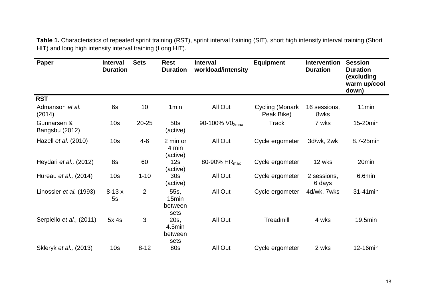**Table 1.** Characteristics of repeated sprint training (RST), sprint interval training (SIT), short high intensity interval training (Short HIT) and long high intensity interval training (Long HIT).

| Paper                         | <b>Interval</b><br><b>Duration</b> | <b>Sets</b>    | <b>Rest</b><br><b>Duration</b>               | <b>Interval</b><br>workload/intensity | <b>Equipment</b>              | <b>Intervention</b><br><b>Duration</b> | <b>Session</b><br><b>Duration</b><br>(excluding<br>warm up/cool<br>down) |
|-------------------------------|------------------------------------|----------------|----------------------------------------------|---------------------------------------|-------------------------------|----------------------------------------|--------------------------------------------------------------------------|
| <b>RST</b>                    |                                    |                |                                              |                                       |                               |                                        |                                                                          |
| Admanson et al.<br>(2014)     | 6s                                 | 10             | 1 <sub>min</sub>                             | All Out                               | Cycling (Monark<br>Peak Bike) | 16 sessions,<br>8wks                   | 11 <sub>min</sub>                                                        |
| Gunnarsen &<br>Bangsbu (2012) | 10 <sub>s</sub>                    | $20 - 25$      | 50s<br>(active)                              | 90-100% V02max                        | Track                         | 7 wks                                  | 15-20min                                                                 |
| Hazell et al. (2010)          | 10 <sub>s</sub>                    | $4 - 6$        | 2 min or<br>4 min<br>(active)                | All Out                               | Cycle ergometer               | 3d/wk, 2wk                             | 8.7-25min                                                                |
| Heydari et al., (2012)        | 8s                                 | 60             | 12s<br>(active)                              | 80-90% HR <sub>max</sub>              | Cycle ergometer               | 12 wks                                 | 20min                                                                    |
| Hureau et al., (2014)         | 10 <sub>s</sub>                    | $1 - 10$       | 30 <sub>s</sub><br>(active)                  | All Out                               | Cycle ergometer               | 2 sessions,<br>6 days                  | 6.6min                                                                   |
| Linossier et al. (1993)       | $8-13x$<br>5s                      | $\overline{2}$ | 55s,<br>15 <sub>min</sub><br>between<br>sets | All Out                               | Cycle ergometer               | 4d/wk, 7wks                            | 31-41min                                                                 |
| Serpiello et al., (2011)      | 5x <sub>4s</sub>                   | 3              | 20s,<br>4.5min<br>between<br>sets            | All Out                               | Treadmill                     | 4 wks                                  | 19.5min                                                                  |
| Skleryk et al., (2013)        | 10 <sub>s</sub>                    | $8 - 12$       | <b>80s</b>                                   | All Out                               | Cycle ergometer               | 2 wks                                  | 12-16min                                                                 |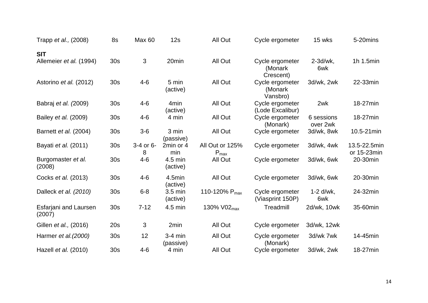| Trapp et al., (2008)            | 8s              | Max 60         | 12s                           | All Out                             | Cycle ergometer                         | 15 wks                 | 5-20mins                    |
|---------------------------------|-----------------|----------------|-------------------------------|-------------------------------------|-----------------------------------------|------------------------|-----------------------------|
| <b>SIT</b>                      |                 |                |                               |                                     |                                         |                        |                             |
| Allemeier et al. (1994)         | 30 <sub>s</sub> | 3              | 20 <sub>min</sub>             | All Out                             | Cycle ergometer<br>(Monark<br>Crescent) | $2-3d/wk$ ,<br>6wk     | 1h 1.5min                   |
| Astorino et al. (2012)          | 30 <sub>s</sub> | $4 - 6$        | 5 min<br>(active)             | All Out                             | Cycle ergometer<br>(Monark<br>Vansbro)  | 3d/wk, 2wk             | 22-33min                    |
| Babraj et al. (2009)            | 30 <sub>s</sub> | $4 - 6$        | 4 <sub>min</sub><br>(active)  | All Out                             | Cycle ergometer<br>(Lode Excalibur)     | 2wk                    | 18-27min                    |
| Bailey <i>et al.</i> (2009)     | 30 <sub>s</sub> | $4 - 6$        | 4 min                         | All Out                             | Cycle ergometer<br>(Monark)             | 6 sessions<br>over 2wk | 18-27min                    |
| Barnett et al. (2004)           | 30 <sub>s</sub> | $3-6$          | 3 min<br>(passive)            | All Out                             | Cycle ergometer                         | 3d/wk, 8wk             | 10.5-21min                  |
| Bayati et al. (2011)            | 30s             | 3-4 or 6-<br>8 | 2min or 4<br>min              | All Out or 125%<br>$P_{\text{max}}$ | Cycle ergometer                         | 3d/wk, 4wk             | 13.5-22.5min<br>or 15-23min |
| Burgomaster et al.<br>(2008)    | 30 <sub>s</sub> | $4 - 6$        | $4.5$ min<br>(active)         | All Out                             | Cycle ergometer                         | 3d/wk, 6wk             | 20-30min                    |
| Cocks et al. (2013)             | 30 <sub>s</sub> | $4 - 6$        | 4.5min<br>(active)            | All Out                             | Cycle ergometer                         | 3d/wk, 6wk             | 20-30min                    |
| Dalleck et al. (2010)           | 30 <sub>s</sub> | $6 - 8$        | $3.5 \text{ min}$<br>(active) | 110-120% P <sub>max</sub>           | Cycle ergometer<br>(Viasprint 150P)     | $1-2$ d/wk.<br>6wk     | 24-32min                    |
| Esfarjani and Laursen<br>(2007) | 30 <sub>s</sub> | $7 - 12$       | 4.5 min                       | 130% V02 <sub>max</sub>             | Treadmill                               | 2d/wk, 10wk            | 35-60min                    |
| Gillen et al., (2016)           | 20s             | 3              | 2min                          | All Out                             | Cycle ergometer                         | 3d/wk, 12wk            |                             |
| Harmer et al. (2000)            | 30 <sub>s</sub> | 12             | $3-4$ min<br>(passive)        | All Out                             | Cycle ergometer<br>(Monark)             | 3d/wk 7wk              | 14-45min                    |
| Hazell et al. (2010)            | 30 <sub>s</sub> | $4 - 6$        | 4 min                         | All Out                             | Cycle ergometer                         | 3d/wk, 2wk             | 18-27min                    |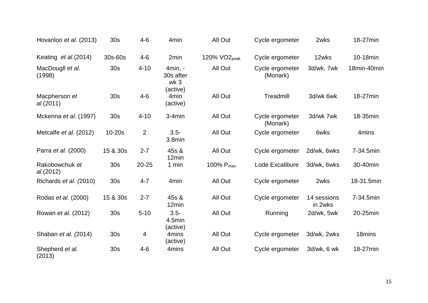| Hovanloo et al. (2013)      | 30s             | $4 - 6$        | 4 <sub>min</sub>                         | All Out                  | Cycle ergometer             | 2wks                   | 18-27min    |
|-----------------------------|-----------------|----------------|------------------------------------------|--------------------------|-----------------------------|------------------------|-------------|
| Keating et al.(2014)        | 30s-60s         | $4 - 6$        | 2min                                     | 120% VO <sub>2peak</sub> | Cycle ergometer             | 12wks                  | 10-18min    |
| MacDougll et al.<br>(1998)  | 30 <sub>s</sub> | $4 - 10$       | 4min, -<br>30s after<br>wk 3<br>(active) | All Out                  | Cycle ergometer<br>(Monark) | 3d/wk, 7wk             | 18min-40min |
| Macpherson et<br>al.(2011)  | 30 <sub>s</sub> | $4 - 6$        | 4 <sub>min</sub><br>(active)             | All Out                  | Treadmill                   | 3d/wk 6wk              | 18-27min    |
| Mckenna et al. (1997)       | 30 <sub>s</sub> | $4 - 10$       | $3-4min$                                 | All Out                  | Cycle ergometer<br>(Monark) | 3d/wk 7wk              | 18-35min    |
| Metcalfe et al. (2012)      | $10-20s$        | $\overline{2}$ | $3.5 -$<br>3.8min                        | All Out                  | Cycle ergometer             | 6wks                   | 4mins       |
| Parra et al. (2000)         | 15 & 30s        | $2 - 7$        | 45s &<br>12min                           | All Out                  | Cycle ergometer             | 2d/wk, 6wks            | 7-34.5min   |
| Rakobowchuk et<br>al.(2012) | 30s             | $20 - 25$      | 1 min                                    | 100% P <sub>max</sub>    | Lode Excalibure             | 3d/wk, 6wks            | 30-40min    |
| Richards et al. (2010)      | 30 <sub>s</sub> | $4 - 7$        | 4 <sub>min</sub>                         | All Out                  | Cycle ergometer             | 2wks                   | 18-31.5min  |
| Rodas et al. (2000)         | 15 & 30s        | $2 - 7$        | 45s &<br>12min                           | All Out                  | Cycle ergometer             | 14 sessions<br>in 2wks | 7-34.5min   |
| Rowan et al. (2012)         | 30s             | $5 - 10$       | $3.5 -$<br>4.5min                        | All Out                  | Running                     | 2d/wk, 5wk             | 20-25min    |
| Shaban et al. (2014)        | 30 <sub>s</sub> | 4              | (active)<br>4mins<br>(active)            | All Out                  | Cycle ergometer             | 3d/wk, 2wks            | 18mins      |
| Shepherd et al.<br>(2013)   | 30 <sub>s</sub> | $4 - 6$        | 4 <sub>mins</sub>                        | All Out                  | Cycle ergometer             | 3d/wk, 6 wk            | 18-27min    |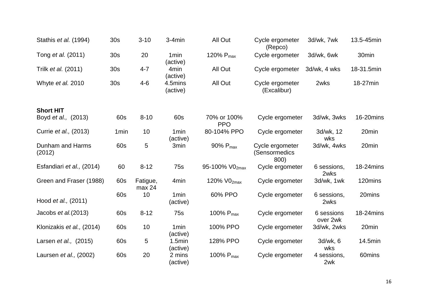| Stathis et al. (1994)      | 30 <sub>s</sub>  | $3 - 10$           | $3-4min$                     | All Out                   | Cycle ergometer<br>(Repco)               | 3d/wk, 7wk             | 13.5-45min |
|----------------------------|------------------|--------------------|------------------------------|---------------------------|------------------------------------------|------------------------|------------|
| Tong et al. (2011)         | 30 <sub>s</sub>  | 20                 | 1 <sub>min</sub><br>(active) | 120% $P_{max}$            | Cycle ergometer                          | 3d/wk, 6wk             | 30min      |
| Trilk et al. (2011)        | 30 <sub>s</sub>  | $4 - 7$            | 4 <sub>min</sub><br>(active) | All Out                   | Cycle ergometer                          | 3d/wk, 4 wks           | 18-31.5min |
| Whyte et al. 2010          | 30 <sub>s</sub>  | $4 - 6$            | 4.5mins<br>(active)          | All Out                   | Cycle ergometer<br>(Excalibur)           | 2wks                   | 18-27min   |
| <b>Short HIT</b>           |                  |                    |                              |                           |                                          |                        |            |
| Boyd et al., (2013)        | 60s              | $8 - 10$           | 60s                          | 70% or 100%<br><b>PPO</b> | Cycle ergometer                          | 3d/wk, 3wks            | 16-20mins  |
| Currie et al., (2013)      | 1 <sub>min</sub> | 10                 | 1 <sub>min</sub><br>(active) | 80-104% PPO               | Cycle ergometer                          | 3d/wk, 12<br>wks       | 20min      |
| Dunham and Harms<br>(2012) | 60s              | 5                  | 3 <sub>min</sub>             | 90% P <sub>max</sub>      | Cycle ergometer<br>(Sensormedics<br>800) | 3d/wk, 4wks            | 20min      |
| Esfandiari et al., (2014)  | 60               | $8 - 12$           | 75s                          | 95-100% V02max            | Cycle ergometer                          | 6 sessions,<br>2wks    | 18-24mins  |
| Green and Fraser (1988)    | 60s              | Fatigue,<br>max 24 | 4 <sub>min</sub>             | 120% V02max               | Cycle ergometer                          | 3d/wk, 1wk             | 120mins    |
| Hood et al., (2011)        | 60s              | 10                 | 1 <sub>min</sub><br>(active) | 60% PPO                   | Cycle ergometer                          | 6 sessions,<br>2wks    | 20mins     |
| Jacobs et al. (2013)       | 60s              | $8 - 12$           | 75s                          | 100% P <sub>max</sub>     | Cycle ergometer                          | 6 sessions<br>over 2wk | 18-24mins  |
| Klonizakis et al., (2014)  | 60s              | 10                 | 1 <sub>min</sub><br>(active) | 100% PPO                  | Cycle ergometer                          | 3d/wk, 2wks            | 20min      |
| Larsen et al., (2015)      | 60s              | 5                  | 1.5min<br>(active)           | 128% PPO                  | Cycle ergometer                          | 3d/wk, 6<br>wks        | 14.5min    |
| Laursen et al., (2002)     | 60s              | 20                 | 2 mins<br>(active)           | 100% $P_{\text{max}}$     | Cycle ergometer                          | 4 sessions,<br>2wk     | 60mins     |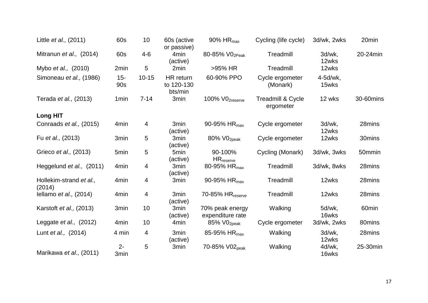| Little <i>et al.</i> , (2011)     | 60s              | 10        | 60s (active<br>or passive)         | 90% $HR_{max}$                      | Cycling (life cycle)           | 3d/wk, 2wks       | 20 <sub>min</sub> |
|-----------------------------------|------------------|-----------|------------------------------------|-------------------------------------|--------------------------------|-------------------|-------------------|
| Mitranun et al., (2014)           | 60s              | $4 - 6$   | 4 <sub>min</sub><br>(active)       | 80-85% V02Peak                      | Treadmill                      | 3d/wk,<br>12wks   | 20-24min          |
| Mybo <i>et al.</i> , (2010)       | 2min             | 5         | 2min                               | >95% HR                             | Treadmill                      | 12wks             |                   |
| Simoneau et al., (1986)           | $15 -$<br>90s    | $10 - 15$ | HR return<br>to 120-130<br>bts/min | 60-90% PPO                          | Cycle ergometer<br>(Monark)    | 4-5d/wk,<br>15wks |                   |
| Terada et al., (2013)             | 1 <sub>min</sub> | $7 - 14$  | 3min                               | 100% VO <sub>2reserve</sub>         | Treadmill & Cycle<br>ergometer | 12 wks            | 30-60mins         |
| <b>Long HIT</b>                   |                  |           |                                    |                                     |                                |                   |                   |
| Conraads et al., (2015)           | 4 <sub>min</sub> | 4         | 3 <sub>min</sub><br>(active)       | 90-95% HR <sub>max</sub>            | Cycle ergometer                | 3d/wk,<br>12wks   | 28mins            |
| Fu et al., (2013)                 | 3min             | 5         | 3 <sub>min</sub><br>(active)       | 80% VO <sub>2peak</sub>             | Cycle ergometer                | 12wks             | 30mins            |
| Grieco et al., (2013)             | 5min             | 5         | 5 <sub>min</sub><br>(active)       | 90-100%<br>$HR_{\text{reserve}}$    | Cycling (Monark)               | 3d/wk, 3wks       | 50mmin            |
| Heggelund et al., (2011)          | 4 <sub>min</sub> | 4         | 3 <sub>min</sub><br>(active)       | 80-95% HR <sub>max</sub>            | Treadmill                      | 3d/wk, 8wks       | 28mins            |
| Hollekim-strand et al.,<br>(2014) | 4 <sub>min</sub> | 4         | 3 <sub>min</sub>                   | 90-95% HR <sub>max</sub>            | Treadmill                      | 12wks             | 28mins            |
| Iellamo et al., $(2014)$          | 4 <sub>min</sub> | 4         | 3 <sub>min</sub><br>(active)       | $70-85%$ HR $_{reserve}$            | Treadmill                      | 12wks             | 28mins            |
| Karstoft et al., (2013)           | 3min             | 10        | 3min<br>(active)                   | 70% peak energy<br>expenditure rate | Walking                        | 5d/wk,<br>16wks   | 60 <sub>min</sub> |
| Leggate $et al., (2012)$          | 4 <sub>min</sub> | 10        | 4 <sub>min</sub>                   | 85% VO <sub>2peak</sub>             | Cycle ergometer                | 3d/wk, 2wks       | 80mins            |
| Lunt et al., (2014)               | 4 min            | 4         | 3 <sub>min</sub><br>(active)       | 85-95% HR <sub>max</sub>            | Walking                        | 3d/wk,<br>12wks   | 28mins            |
| Marikawa et al., (2011)           | $2 -$<br>3min    | 5         | 3min                               | 70-85% V02 <sub>peak</sub>          | Walking                        | 4d/wk,<br>16wks   | 25-30min          |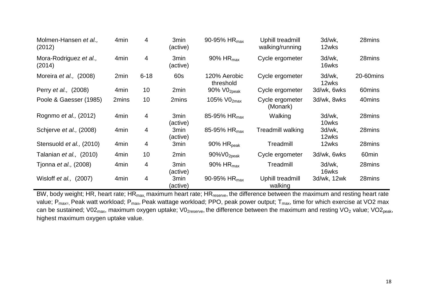| Molmen-Hansen et al.,<br>(2012)  | 4 <sub>min</sub> | 4        | 3min<br>(active)             | 90-95% HR <sub>max</sub>   | Uphill treadmill<br>walking/running | 3d/wk,<br>12wks | 28mins            |
|----------------------------------|------------------|----------|------------------------------|----------------------------|-------------------------------------|-----------------|-------------------|
| Mora-Rodriguez et al.,<br>(2014) | 4 <sub>min</sub> | 4        | 3min<br>(active)             | 90% HR <sub>max</sub>      | Cycle ergometer                     | 3d/wk,<br>16wks | 28mins            |
| Moreira et al., (2008)           | 2min             | $6 - 18$ | 60s                          | 120% Aerobic<br>threshold  | Cycle ergometer                     | 3d/wk,<br>12wks | 20-60mins         |
| Perry et al., (2008)             | 4 <sub>min</sub> | 10       | 2min                         | 90% VO <sub>2peak</sub>    | Cycle ergometer                     | 3d/wk, 6wks     | 60mins            |
| Poole & Gaesser (1985)           | 2mins            | 10       | 2mins                        | 105% V02max                | Cycle ergometer<br>(Monark)         | 3d/wk, 8wks     | 40mins            |
| Rognmo et al., (2012)            | 4 <sub>min</sub> | 4        | 3min<br>(active)             | 85-95% HR <sub>max</sub>   | Walking                             | 3d/wk,<br>10wks | 28mins            |
| Schjerve et al., (2008)          | 4 <sub>min</sub> | 4        | 3min<br>(active)             | 85-95% HR <sub>max</sub>   | Treadmill walking                   | 3d/wk,<br>12wks | 28mins            |
| Stensuold et al., (2010)         | 4 <sub>min</sub> | 4        | 3min                         | $90\%$ HR <sub>peak</sub>  | Treadmill                           | 12wks           | 28mins            |
| Talanian et al., (2010)          | 4 <sub>min</sub> | 10       | 2min                         | $90\%$ VO <sub>2peak</sub> | Cycle ergometer                     | 3d/wk, 6wks     | 60 <sub>min</sub> |
| Tjonna <i>et al.,</i> (2008)     | 4 <sub>min</sub> | 4        | 3 <sub>min</sub><br>(active) | 90% HR <sub>max</sub>      | Treadmill                           | 3d/wk.<br>16wks | 28mins            |
| Wisloff et al., (2007)           | 4 <sub>min</sub> | 4        | 3min<br>(active)             | 90-95% HR <sub>max</sub>   | Uphill treadmill<br>walking         | 3d/wk, 12wk     | 28mins            |

BW, body weight; HR, heart rate; HR<sub>max,</sub> maximum heart rate; HR<sub>reserve</sub>, the difference between the maximum and resting heart rate value; P<sub>max=,</sub> Peak watt workload; P<sub>max</sub>, Peak wattage workload; PPO, peak power output; T<sub>max</sub>, time for which exercise at VO2 max can be sustained; V02<sub>max</sub>, maximum oxygen uptake; V0<sub>2reserve</sub>, the difference between the maximum and resting VO<sub>2</sub> value; VO2<sub>peak</sub>, highest maximum oxygen uptake value.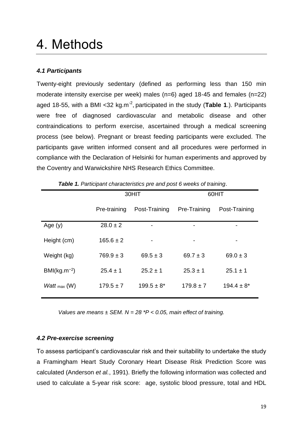### <span id="page-18-0"></span>4. Methods

#### <span id="page-18-1"></span>*4.1 Participants*

Twenty-eight previously sedentary (defined as performing less than 150 min moderate intensity exercise per week) males (n=6) aged 18-45 and females (n=22) aged 18-55, with a BMI <32 kg.m<sup>-2</sup>, participated in the study (Table 1.). Participants were free of diagnosed cardiovascular and metabolic disease and other contraindications to perform exercise, ascertained through a medical screening process (see below). Pregnant or breast feeding participants were excluded. The participants gave written informed consent and all procedures were performed in compliance with the Declaration of Helsinki for human experiments and approved by the Coventry and Warwickshire NHS Research Ethics Committee.

|                                 |               | 30HIT           | 60HIT         |                 |  |
|---------------------------------|---------------|-----------------|---------------|-----------------|--|
|                                 | Pre-training  | Post-Training   | Pre-Training  | Post-Training   |  |
| Age $(y)$                       | $28.0 \pm 2$  |                 |               |                 |  |
| Height (cm)                     | $165.6 \pm 2$ | ۰               |               |                 |  |
| Weight (kg)                     | $769.9 \pm 3$ | $69.5 \pm 3$    | $69.7 \pm 3$  | $69.0 \pm 3$    |  |
| $BM/kg.m^{-2}$                  | $25.4 \pm 1$  | $25.2 \pm 1$    | $25.3 \pm 1$  | $25.1 \pm 1$    |  |
| <i>Watt</i> $_{\text{max}}$ (W) | $179.5 \pm 7$ | $199.5 \pm 8^*$ | $179.8 \pm 7$ | $194.4 \pm 8^*$ |  |

|  |  | Table 1. Participant characteristics pre and post 6 weeks of training. |  |  |  |  |
|--|--|------------------------------------------------------------------------|--|--|--|--|
|--|--|------------------------------------------------------------------------|--|--|--|--|

*Values are means ± SEM. N = 28 \*P < 0.05, main effect of training.*

#### <span id="page-18-2"></span>*4.2 Pre-exercise screening*

To assess participant's cardiovascular risk and their suitability to undertake the study a Framingham Heart Study Coronary Heart Disease Risk Prediction Score was calculated (Anderson *et al.*, 1991). Briefly the following information was collected and used to calculate a 5-year risk score: age, systolic blood pressure, total and HDL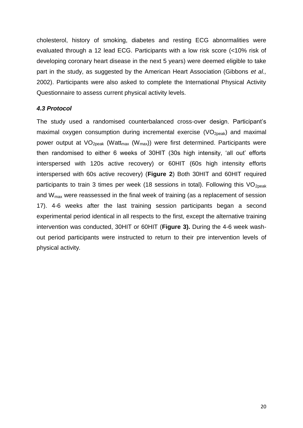cholesterol, history of smoking, diabetes and resting ECG abnormalities were evaluated through a 12 lead ECG. Participants with a low risk score (<10% risk of developing coronary heart disease in the next 5 years) were deemed eligible to take part in the study, as suggested by the American Heart Association (Gibbons *et al.,*  2002). Participants were also asked to complete the International Physical Activity Questionnaire to assess current physical activity levels.

#### <span id="page-19-0"></span>*4.3 Protocol*

The study used a randomised counterbalanced cross-over design. Participant's maximal oxygen consumption during incremental exercise  $(VO<sub>20eak</sub>)$  and maximal power output at  $VO<sub>20eak</sub>$  (Watt<sub>max</sub> (W<sub>max</sub>)) were first determined. Participants were then randomised to either 6 weeks of 30HIT (30s high intensity, 'all out' efforts interspersed with 120s active recovery) or 60HIT (60s high intensity efforts interspersed with 60s active recovery) (**Figure 2**) Both 30HIT and 60HIT required participants to train 3 times per week (18 sessions in total). Following this  $VO<sub>20eak</sub>$ and  $W_{\text{max}}$  were reassessed in the final week of training (as a replacement of session 17). 4-6 weeks after the last training session participants began a second experimental period identical in all respects to the first, except the alternative training intervention was conducted, 30HIT or 60HIT (**Figure 3).** During the 4-6 week washout period participants were instructed to return to their pre intervention levels of physical activity*.*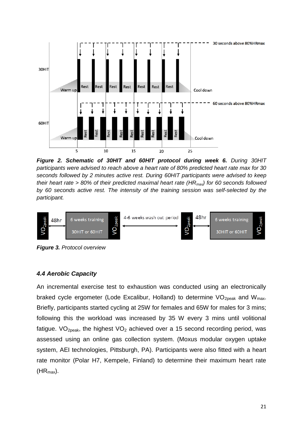

*Figure 2. Schematic of 30HIT and 60HIT protocol during week 6. During 30HIT participants were advised to reach above a heart rate of 80% predicted heart rate max for 30 seconds followed by 2 minutes active rest. During 60HIT participants were advised to keep their heart rate > 80% of their predicted maximal heart rate (HRmax) for 60 seconds followed by 60 seconds active rest. The intensity of the training session was self-selected by the participant.* 



<span id="page-20-0"></span>*Figure 3. Protocol overview*

#### *4.4 Aerobic Capacity*

<span id="page-20-1"></span>An incremental exercise test to exhaustion was conducted using an electronically braked cycle ergometer (Lode Excalibur, Holland) to determine  $VO<sub>2peak</sub>$  and  $W<sub>max</sub>$ . Briefly, participants started cycling at 25W for females and 65W for males for 3 mins; following this the workload was increased by 35 W every 3 mins until volitional fatigue. VO<sub>2peak</sub>, the highest VO<sub>2</sub> achieved over a 15 second recording period, was assessed using an online gas collection system. (Moxus modular oxygen uptake system, AEI technologies, Pittsburgh, PA). Participants were also fitted with a heart rate monitor (Polar H7, Kempele, Finland) to determine their maximum heart rate  $(HR_{max})$ .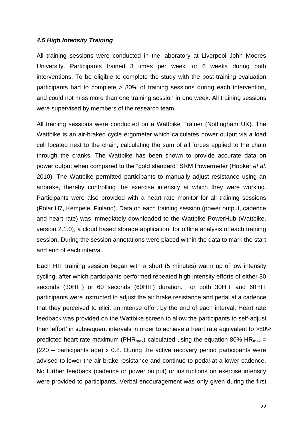#### *4.5 High Intensity Training*

All training sessions were conducted in the laboratory at Liverpool John Moores University. Participants trained 3 times per week for 6 weeks during both interventions. To be eligible to complete the study with the post-training evaluation participants had to complete > 80% of training sessions during each intervention, and could not miss more than one training session in one week. All training sessions were supervised by members of the research team.

All training sessions were conducted on a Wattbike Trainer (Nottingham UK). The Wattbike is an air-braked cycle ergometer which calculates power output via a load cell located next to the chain, calculating the sum of all forces applied to the chain through the cranks. The Wattbike has been shown to provide accurate data on power output when compared to the "gold standard" SRM Powermeter (Hopker *et al.,*  2010). The Wattbike permitted participants to manually adjust resistance using an airbrake, thereby controlling the exercise intensity at which they were working. Participants were also provided with a heart rate monitor for all training sessions (Polar H7, Kempele, Finland). Data on each training session (power output, cadence and heart rate) was immediately downloaded to the Wattbike PowerHub (Wattbike, version 2.1.0), a cloud based storage application, for offline analysis of each training session. During the session annotations were placed within the data to mark the start and end of each interval.

Each HIT training session began with a short (5 minutes) warm up of low intensity cycling, after which participants performed repeated high intensity efforts of either 30 seconds (30HIT) or 60 seconds (60HIT) duration. For both 30HIT and 60HIT participants were instructed to adjust the air brake resistance and pedal at a cadence that they perceived to elicit an intense effort by the end of each interval. Heart rate feedback was provided on the Wattbike screen to allow the participants to self-adjust their 'effort' in subsequent intervals in order to achieve a heart rate equivalent to >80% predicted heart rate maximum (PHR<sub>max</sub>) calculated using the equation 80% HR<sub>max</sub> = (220 – participants age) x 0.8. During the active recovery period participants were advised to lower the air brake resistance and continue to pedal at a lower cadence. No further feedback (cadence or power output) or instructions on exercise intensity were provided to participants. Verbal encouragement was only given during the first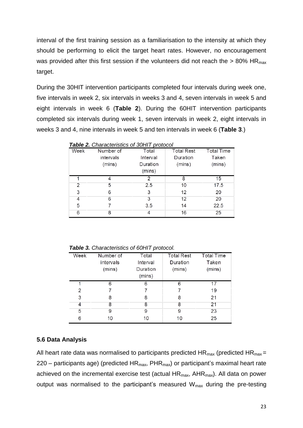interval of the first training session as a familiarisation to the intensity at which they should be performing to elicit the target heart rates. However, no encouragement was provided after this first session if the volunteers did not reach the  $> 80\%$  HR<sub>max</sub> target.

During the 30HIT intervention participants completed four intervals during week one, five intervals in week 2, six intervals in weeks 3 and 4, seven intervals in week 5 and eight intervals in week 6 (**Table 2**). During the 60HIT intervention participants completed six intervals during week 1, seven intervals in week 2, eight intervals in weeks 3 and 4, nine intervals in week 5 and ten intervals in week 6 (**Table 3**.)

|      | <b>Table 2.</b> Characteristics of 30HIT protocol |          |                   |                   |
|------|---------------------------------------------------|----------|-------------------|-------------------|
| Week | Number of                                         | Total    | <b>Total Rest</b> | <b>Total Time</b> |
|      | intervals                                         | Interval | Duration          | Taken             |
|      | (mins)                                            | Duration | (mins)            | (mins)            |
|      |                                                   | (mins)   |                   |                   |
|      | 4                                                 | 2        | 8                 | 15                |
| 2    | 5                                                 | 2.5      | 10                | 17.5              |
| 3    | 6                                                 | 3        | 12                | 20                |
| 4    | 6                                                 | 3        | 12                | 20                |
| 5    |                                                   | 3.5      | 14                | 22.5              |
| 6    | 8                                                 | 4        | 16                | 25                |

*Table 3. Characteristics of 60HIT protocol.*

| Week | Number of<br>intervals<br>(mins) | Total<br>Interval<br>Duration<br>(mins) | <b>Total Rest</b><br>Duration<br>(mins) | <b>Total Time</b><br>Taken<br>(mins) |
|------|----------------------------------|-----------------------------------------|-----------------------------------------|--------------------------------------|
|      | 6                                | 6                                       | 6                                       | 17                                   |
| 2    |                                  |                                         |                                         | 19                                   |
| 3    | 8                                | 8                                       | 8                                       | 21                                   |
| 4    | 8                                | 8                                       | 8                                       | 21                                   |
| 5    | 9                                | 9                                       | 9                                       | 23                                   |
| 6    | 10                               | 10                                      | 10                                      | 25                                   |

#### <span id="page-22-0"></span>**5.6 Data Analysis**

All heart rate data was normalised to participants predicted  $HR_{max}$  (predicted  $HR_{max}$  = 220 – participants age) (predicted  $HR_{max}$ ,  $PHR_{max}$ ) or participant's maximal heart rate achieved on the incremental exercise test (actual  $HR_{max}$ ,  $AHR_{max}$ ). All data on power output was normalised to the participant's measured W<sub>max</sub> during the pre-testing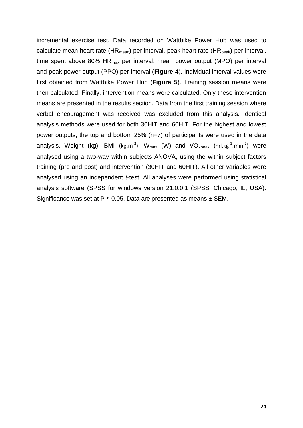incremental exercise test. Data recorded on Wattbike Power Hub was used to calculate mean heart rate (HR<sub>mean</sub>) per interval, peak heart rate (HR<sub>peak</sub>) per interval, time spent above 80%  $HR<sub>max</sub>$  per interval, mean power output (MPO) per interval and peak power output (PPO) per interval (**Figure 4**). Individual interval values were first obtained from Wattbike Power Hub (**Figure 5**). Training session means were then calculated. Finally, intervention means were calculated. Only these intervention means are presented in the results section. Data from the first training session where verbal encouragement was received was excluded from this analysis. Identical analysis methods were used for both 30HIT and 60HIT. For the highest and lowest power outputs, the top and bottom 25% (n=7) of participants were used in the data analysis. Weight (kg), BMI (kg.m<sup>-2</sup>), W<sub>max</sub> (W) and VO<sub>2peak</sub> (ml.kg<sup>-1</sup>.min<sup>-1</sup>) were analysed using a two-way within subjects ANOVA, using the within subject factors training (pre and post) and intervention (30HIT and 60HIT). All other variables were analysed using an independent *t*-test. All analyses were performed using statistical analysis software (SPSS for windows version 21.0.0.1 (SPSS, Chicago, IL, USA). Significance was set at  $P \le 0.05$ . Data are presented as means  $\pm$  SEM.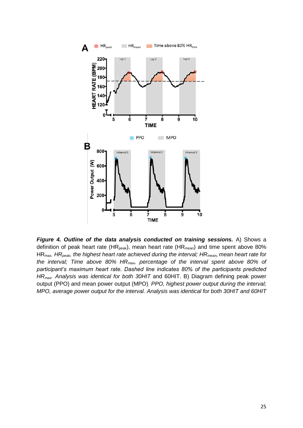

*Figure 4. Outline of the data analysis conducted on training sessions.* A) Shows a definition of peak heart rate (HR<sub>peak</sub>), mean heart rate (HR<sub>mean</sub>) and time spent above 80% HRmax. *HRpeak, the highest heart rate achieved during the interval; HRmean, mean heart rate for the interval; Time above 80% HRmax, percentage of the interval spent above 80% of participant's maximum heart rate. Dashed line indicates 80% of the participants predicted HRmax. Analysis was identical for both 30HIT* and 60HIT. B) Diagram defining peak power output (PPO) and mean power output (MPO). *PPO, highest power output during the interval; MPO, average power output for the interval. Analysis was identical for both 30HIT and 60HIT*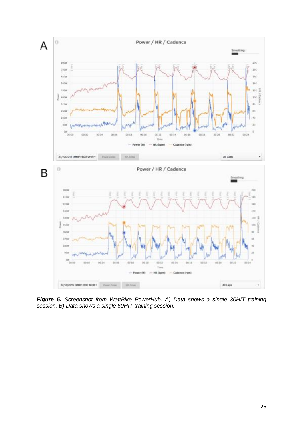

*Figure 5. Screenshot from WattBike PowerHub. A) Data shows a single 30HIT training session. B) Data shows a single 60HIT training session.*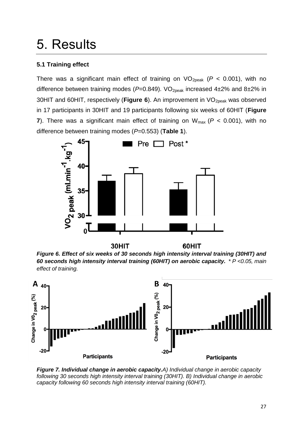### <span id="page-26-0"></span>5. Results

#### <span id="page-26-1"></span>**5.1 Training effect**

There was a significant main effect of training on  $VO_{2peak}$  ( $P < 0.001$ ), with no difference between training modes (P=0.849). VO<sub>2peak</sub> increased 4±2% and 8±2% in 30HIT and 60HIT, respectively (Figure 6). An improvement in VO<sub>2peak</sub> was observed in 17 participants in 30HIT and 19 participants following six weeks of 60HIT (**Figure 7**). There was a significant main effect of training on  $W_{\text{max}}$  ( $P < 0.001$ ), with no difference between training modes (*P*=0.553) (**Table 1**).



*Figure 6. Effect of six weeks of 30 seconds high intensity interval training (30HIT) and 60 seconds high intensity interval training (60HIT) on aerobic capacity. \* P <0.05, main effect of training.*



*Figure 7. Individual change in aerobic capacity.A) Individual change in aerobic capacity following 30 seconds high intensity interval training (30HIT). B) Individual change in aerobic capacity following 60 seconds high intensity interval training (60HIT).*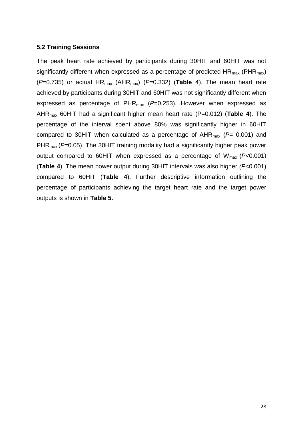#### <span id="page-27-0"></span>**5.2 Training Sessions**

The peak heart rate achieved by participants during 30HIT and 60HIT was not significantly different when expressed as a percentage of predicted  $HR_{max}$  (PHR<sub>max</sub>) ( $P=0.735$ ) or actual  $HR_{max}$  ( $AHR_{max}$ ) ( $P=0.332$ ) (**Table 4**). The mean heart rate achieved by participants during 30HIT and 60HIT was not significantly different when expressed as percentage of PHRmax (*P*=0.253). However when expressed as AHRmax 60HIT had a significant higher mean heart rate (P=0.012) (**Table 4**). The percentage of the interval spent above 80% was significantly higher in 60HIT compared to 30HIT when calculated as a percentage of  $AHR_{max}$  ( $P= 0.001$ ) and PHR<sub>max</sub> (*P*=0.05). The 30HIT training modality had a significantly higher peak power output compared to 60HIT when expressed as a percentage of Wmax (*P*<0.001) (**Table 4**). The mean power output during 30HIT intervals was also higher *(P*<0.001) compared to 60HIT (**Table 4**). Further descriptive information outlining the percentage of participants achieving the target heart rate and the target power outputs is shown in **Table 5.**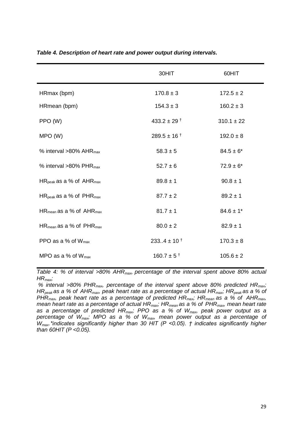|                                          | 30HIT                       | 60HIT          |
|------------------------------------------|-----------------------------|----------------|
| HRmax (bpm)                              | $170.8 \pm 3$               | $172.5 \pm 2$  |
| HRmean (bpm)                             | $154.3 \pm 3$               | $160.2 \pm 3$  |
| PPO (W)                                  | 433.2 $\pm$ 29 <sup>†</sup> | $310.1 \pm 22$ |
| MPO(W)                                   | $289.5 \pm 16^{+}$          | $192.0 \pm 8$  |
| % interval $>80\%$ AHR <sub>max</sub>    | $58.3 \pm 5$                | $84.5 \pm 6*$  |
| % interval $>80\%$ PHR <sub>max</sub>    | $52.7 \pm 6$                | $72.9 \pm 6^*$ |
| HR <sub>peak</sub> as a % of $AHR_{max}$ | $89.8 \pm 1$                | $90.8 \pm 1$   |
| $HR_{peak}$ as a % of $PHR_{max}$        | $87.7 \pm 2$                | $89.2 \pm 1$   |
| HR <sub>mean</sub> as a % of $AHR_{max}$ | $81.7 \pm 1$                | $84.6 \pm 1$ * |
| HR <sub>mean</sub> as a % of $PHR_{max}$ | $80.0 \pm 2$                | $82.9 \pm 1$   |
| PPO as a % of $W_{\text{max}}$           | $233.4 \pm 10^{+}$          | $170.3 \pm 8$  |
| MPO as a % of $W_{\text{max}}$           | $160.7 \pm 5$ <sup>+</sup>  | $105.6 \pm 2$  |

*Table 4. Description of heart rate and power output during intervals.* 

*Table 4: % of interval >80% AHRmax, percentage of the interval spent above 80% actual HRmax;*

*% interval >80% PHRmax, percentage of the interval spent above 80% predicted HRmax; HRpeak as a % of AHRmax, peak heart rate as a percentage of actual HRmax; HRpeak as a % of PHRmax, peak heart rate as a percentage of predicted HRmax; HRmean as a % of AHRmax, mean heart rate as a percentage of actual HRmax; HRmean as a % of PHRmax, mean heart rate as a percentage of predicted HRmax; PPO as a % of Wmax, peak power output as a percentage of Wmax; MPO as a % of Wmax, mean power output as a percentage of Wmax.\*indicates significantly higher than 30 HIT (P <0.05). † indicates significantly higher than 60HIT (P <0.05).*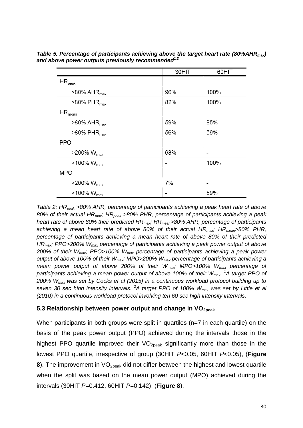|                               | 30HIT | 60HIT |
|-------------------------------|-------|-------|
| $\mathsf{HR}_{\mathsf{peak}}$ |       |       |
| $>80\%$ AHR <sub>max</sub>    | 96%   | 100%  |
| $>80\%$ PHR <sub>max</sub>    | 82%   | 100%  |
| $\mathsf{HR}_{\mathsf{mean}}$ |       |       |
| $>80\%$ AHR <sub>max</sub>    | 59%   | 85%   |
| $>80\%$ PHR <sub>max</sub>    | 56%   | 59%   |
| <b>PPO</b>                    |       |       |
| $>$ 200% W <sub>max</sub>     | 68%   |       |
| $>100\%$ W <sub>max</sub>     |       | 100%  |
| <b>MPO</b>                    |       |       |
| $>$ 200% W <sub>max</sub>     | 7%    |       |
| $>100\%$ W $_{max}$           |       | 59%   |

*Table 5. Percentage of participants achieving above the target heart rate (80%AHRmax) and above power outputs previously recommended1,2*

*Table 2: HRpeak >80% AHR, percentage of participants achieving a peak heart rate of above 80% of their actual HRmax; HRpeak >80% PHR, percentage of participants achieving a peak heart rate of above 80% their predicted HRmax; HRmean>80% AHR, percentage of participants achieving a mean heart rate of above 80% of their actual HRmax; HRmean>80% PHR, percentage of participants achieving a mean heart rate of above 80% of their predicted HRmax; PPO>200% Wmax percentage of participants achieving a peak power output of above 200% of their Wmax; PPO>100% Wmax percentage of participants achieving a peak power output of above 100% of their Wmax; MPO>200% Wmax percentage of participants achieving a mean power output of above 200% of their Wmax; MPO>100% Wmax percentage of participants achieving a mean power output of above 100% of their Wmax. <sup>1</sup>A target PPO of 200% Wmax was set by Cocks et al (2015) in a continuous workload protocol building up to seven 30 sec high intensity intervals. <sup>2</sup>A target PPO of 100% Wmax was set by Little et al (2010) in a continuous workload protocol involving ten 60 sec high intensity intervals.* 

#### <span id="page-29-0"></span>**5.3 Relationship between power output and change in VO2peak**

When participants in both groups were split in quartiles (n=7 in each quartile) on the basis of the peak power output (PPO) achieved during the intervals those in the highest PPO quartile improved their VO<sub>2peak</sub> significantly more than those in the lowest PPO quartile, irrespective of group (30HIT *P*<0.05, 60HIT *P*<0.05), (**Figure 8**). The improvement in VO<sub>2peak</sub> did not differ between the highest and lowest quartile when the split was based on the mean power output (MPO) achieved during the intervals (30HIT *P*=0.412, 60HIT *P*=0.142), (**Figure 8**).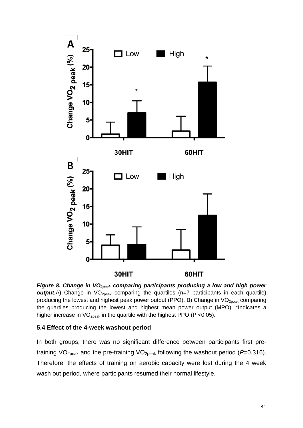

*Figure 8. Change in VO2peak comparing participants producing a low and high power*  **output.**A) Change in VO<sub>2peak</sub> comparing the quartiles (n=7 participants in each quartile) producing the lowest and highest peak power output (PPO). B) Change in  $VO<sub>2peak</sub>$  comparing the quartiles producing the lowest and highest mean power output (MPO). \*Indicates a higher increase in  $VO<sub>2peak</sub>$  in the quartile with the highest PPO (P < 0.05).

#### <span id="page-30-0"></span>**5.4 Effect of the 4-week washout period**

In both groups, there was no significant difference between participants first pretraining VO2peak and the pre-training VO2peak following the washout period (*P*=0.316). Therefore, the effects of training on aerobic capacity were lost during the 4 week wash out period, where participants resumed their normal lifestyle.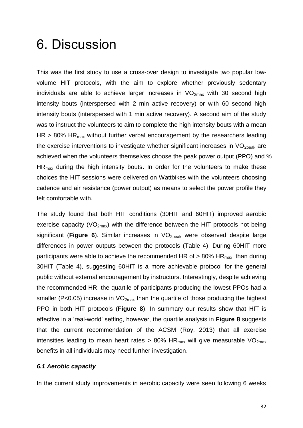### <span id="page-31-0"></span>6. Discussion

This was the first study to use a cross-over design to investigate two popular lowvolume HIT protocols, with the aim to explore whether previously sedentary individuals are able to achieve larger increases in  $VO_{2max}$  with 30 second high intensity bouts (interspersed with 2 min active recovery) or with 60 second high intensity bouts (interspersed with 1 min active recovery). A second aim of the study was to instruct the volunteers to aim to complete the high intensity bouts with a mean  $HR > 80\%$  HR<sub>max</sub> without further verbal encouragement by the researchers leading the exercise interventions to investigate whether significant increases in  $VO<sub>2peak</sub>$  are achieved when the volunteers themselves choose the peak power output (PPO) and % HRmax during the high intensity bouts. In order for the volunteers to make these choices the HIT sessions were delivered on Wattbikes with the volunteers choosing cadence and air resistance (power output) as means to select the power profile they felt comfortable with.

The study found that both HIT conditions (30HIT and 60HIT) improved aerobic exercise capacity ( $VO_{2max}$ ) with the difference between the HIT protocols not being significant (**Figure 6**). Similar increases in VO<sub>2peak</sub> were observed despite large differences in power outputs between the protocols (Table 4). During 60HIT more participants were able to achieve the recommended HR of  $> 80\%$  HR<sub>max</sub> than during 30HIT (Table 4), suggesting 60HIT is a more achievable protocol for the general public without external encouragement by instructors. Interestingly, despite achieving the recommended HR, the quartile of participants producing the lowest PPOs had a smaller (P<0.05) increase in  $VO_{2max}$  than the quartile of those producing the highest PPO in both HIT protocols (**Figure 8**). In summary our results show that HIT is effective in a 'real-world' setting, however, the quartile analysis in **Figure 8** suggests that the current recommendation of the ACSM (Roy, 2013) that all exercise intensities leading to mean heart rates > 80% HR $_{max}$  will give measurable VO<sub>2max</sub> benefits in all individuals may need further investigation.

#### <span id="page-31-1"></span>*6.1 Aerobic capacity*

In the current study improvements in aerobic capacity were seen following 6 weeks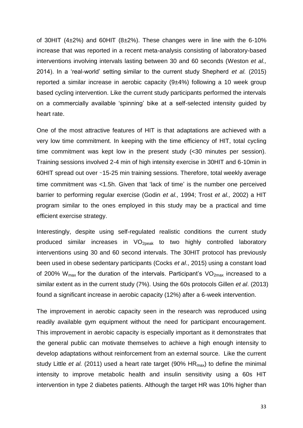of 30HIT (4±2%) and 60HIT (8±2%). These changes were in line with the 6-10% increase that was reported in a recent meta-analysis consisting of laboratory-based interventions involving intervals lasting between 30 and 60 seconds (Weston *et al.,* 2014). In a 'real-world' setting similar to the current study Shepherd *et al.* (2015) reported a similar increase in aerobic capacity (9±4%) following a 10 week group based cycling intervention. Like the current study participants performed the intervals on a commercially available 'spinning' bike at a self-selected intensity guided by heart rate.

One of the most attractive features of HIT is that adaptations are achieved with a very low time commitment. In keeping with the time efficiency of HIT, total cycling time commitment was kept low in the present study (<30 minutes per session). Training sessions involved 2-4 min of high intensity exercise in 30HIT and 6-10min in 60HIT spread out over ∼15-25 min training sessions. Therefore, total weekly average time commitment was <1.5h. Given that 'lack of time' is the number one perceived barrier to performing regular exercise (Godin *et al.,* 1994; Trost *et al.,* 2002) a HIT program similar to the ones employed in this study may be a practical and time efficient exercise strategy.

Interestingly, despite using self-regulated realistic conditions the current study produced similar increases in  $VO<sub>2peak</sub>$  to two highly controlled laboratory interventions using 30 and 60 second intervals. The 30HIT protocol has previously been used in obese sedentary participants (Cocks *et al*., 2015) using a constant load of 200%  $W_{max}$  for the duration of the intervals. Participant's  $VO_{2max}$  increased to a similar extent as in the current study (7%). Using the 60s protocols Gillen *et al*. (2013) found a significant increase in aerobic capacity (12%) after a 6-week intervention.

The improvement in aerobic capacity seen in the research was reproduced using readily available gym equipment without the need for participant encouragement. This improvement in aerobic capacity is especially important as it demonstrates that the general public can motivate themselves to achieve a high enough intensity to develop adaptations without reinforcement from an external source. Like the current study Little *et al.* (2011) used a heart rate target (90% HR<sub>max</sub>) to define the minimal intensity to improve metabolic health and insulin sensitivity using a 60s HIT intervention in type 2 diabetes patients. Although the target HR was 10% higher than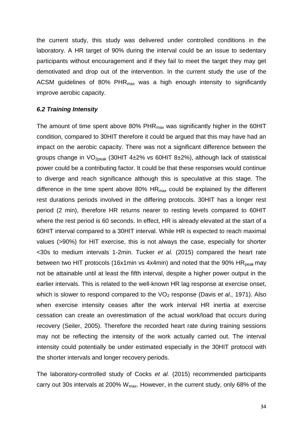the current study, this study was delivered under controlled conditions in the laboratory. A HR target of 90% during the interval could be an issue to sedentary participants without encouragement and if they fail to meet the target they may get demotivated and drop out of the intervention. In the current study the use of the ACSM guidelines of 80%  $PHR_{max}$  was a high enough intensity to significantly improve aerobic capacity.

#### <span id="page-33-0"></span>*6.2 Training Intensity*

The amount of time spent above 80%  $PHR_{max}$  was significantly higher in the 60HIT condition, compared to 30HIT therefore it could be argued that this may have had an impact on the aerobic capacity. There was not a significant difference between the groups change in VO2peak (30HIT 4±2% vs 60HIT 8±2%), although lack of statistical power could be a contributing factor. It could be that these responses would continue to diverge and reach significance although this is speculative at this stage. The difference in the time spent above 80%  $HR<sub>max</sub>$  could be explained by the different rest durations periods involved in the differing protocols. 30HIT has a longer rest period (2 min), therefore HR returns nearer to resting levels compared to 60HIT where the rest period is 60 seconds. In effect, HR is already elevated at the start of a 60HIT interval compared to a 30HIT interval. While HR is expected to reach maximal values (>90%) for HIT exercise, this is not always the case, especially for shorter <30s to medium intervals 1-2min. Tucker *et al.* (2015) compared the heart rate between two HIT protocols (16x1min vs 4x4min) and noted that the 90%  $HR_{peak}$  may not be attainable until at least the fifth interval, despite a higher power output in the earlier intervals. This is related to the well-known HR lag response at exercise onset, which is slower to respond compared to the VO<sub>2</sub> response (Davis *et al.,* 1971). Also when exercise intensity ceases after the work interval HR inertia at exercise cessation can create an overestimation of the actual work/load that occurs during recovery (Seiler, 2005). Therefore the recorded heart rate during training sessions may not be reflecting the intensity of the work actually carried out. The interval intensity could potentially be under estimated especially in the 30HIT protocol with the shorter intervals and longer recovery periods.

The laboratory-controlled study of Cocks *et al.* (2015) recommended participants carry out 30s intervals at 200%  $W_{\text{max}}$ . However, in the current study, only 68% of the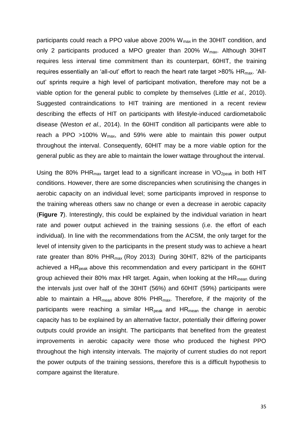participants could reach a PPO value above 200%  $W_{max}$  in the 30HIT condition, and only 2 participants produced a MPO greater than 200%  $W_{\text{max}}$ . Although 30HIT requires less interval time commitment than its counterpart, 60HIT, the training requires essentially an 'all-out' effort to reach the heart rate target  $>80\%$  HR<sub>max</sub>. 'Allout' sprints require a high level of participant motivation, therefore may not be a viable option for the general public to complete by themselves (Little *et al.,* 2010). Suggested contraindications to HIT training are mentioned in a recent review describing the effects of HIT on participants with lifestyle-induced cardiometabolic disease (Weston *et al.,* 2014). In the 60HIT condition all participants were able to reach a PPO  $>100\%$  W<sub>max</sub>, and 59% were able to maintain this power output throughout the interval. Consequently, 60HIT may be a more viable option for the general public as they are able to maintain the lower wattage throughout the interval.

Using the 80% PHR<sub>max</sub> target lead to a significant increase in  $VO<sub>2peak</sub>$  in both HIT conditions. However, there are some discrepancies when scrutinising the changes in aerobic capacity on an individual level; some participants improved in response to the training whereas others saw no change or even a decrease in aerobic capacity (**Figure 7**). Interestingly, this could be explained by the individual variation in heart rate and power output achieved in the training sessions (i.e. the effort of each individual). In line with the recommendations from the ACSM, the only target for the level of intensity given to the participants in the present study was to achieve a heart rate greater than 80% PHR $_{max}$  (Roy 2013). During 30HIT, 82% of the participants achieved a  $HR<sub>peak</sub>$  above this recommendation and every participant in the 60HIT group achieved their 80% max HR target. Again, when looking at the  $HR_{mean}$  during the intervals just over half of the 30HIT (56%) and 60HIT (59%) participants were able to maintain a  $HR_{mean}$  above 80%  $PHR_{max}$ . Therefore, if the majority of the participants were reaching a similar  $HR_{peak}$  and  $HR_{mean}$  the change in aerobic capacity has to be explained by an alternative factor, potentially their differing power outputs could provide an insight. The participants that benefited from the greatest improvements in aerobic capacity were those who produced the highest PPO throughout the high intensity intervals. The majority of current studies do not report the power outputs of the training sessions, therefore this is a difficult hypothesis to compare against the literature.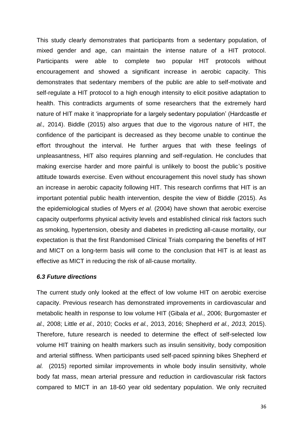This study clearly demonstrates that participants from a sedentary population, of mixed gender and age, can maintain the intense nature of a HIT protocol. Participants were able to complete two popular HIT protocols without encouragement and showed a significant increase in aerobic capacity. This demonstrates that sedentary members of the public are able to self-motivate and self-regulate a HIT protocol to a high enough intensity to elicit positive adaptation to health. This contradicts arguments of some researchers that the extremely hard nature of HIT make it 'inappropriate for a largely sedentary population' (Hardcastle *et al.,* 2014). Biddle (2015) also argues that due to the vigorous nature of HIT, the confidence of the participant is decreased as they become unable to continue the effort throughout the interval. He further argues that with these feelings of unpleasantness, HIT also requires planning and self-regulation. He concludes that making exercise harder and more painful is unlikely to boost the public's positive attitude towards exercise. Even without encouragement this novel study has shown an increase in aerobic capacity following HIT. This research confirms that HIT is an important potential public health intervention, despite the view of Biddle (2015). As the epidemiological studies of Myers *et al.* (2004) have shown that aerobic exercise capacity outperforms physical activity levels and established clinical risk factors such as smoking, hypertension, obesity and diabetes in predicting all-cause mortality, our expectation is that the first Randomised Clinical Trials comparing the benefits of HIT and MICT on a long-term basis will come to the conclusion that HIT is at least as effective as MICT in reducing the risk of all-cause mortality.

#### <span id="page-35-0"></span>*6.3 Future directions*

The current study only looked at the effect of low volume HIT on aerobic exercise capacity. Previous research has demonstrated improvements in cardiovascular and metabolic health in response to low volume HIT (Gibala *et al.,* 2006; Burgomaster *et al.,* 2008; Little *et al.,* 2010; Cocks *et al.,* 2013, 2016; Shepherd *et al., 2013,* 2015). Therefore, future research is needed to determine the effect of self-selected low volume HIT training on health markers such as insulin sensitivity, body composition and arterial stiffness. When participants used self-paced spinning bikes Shepherd *et al.* (2015) reported similar improvements in whole body insulin sensitivity, whole body fat mass, mean arterial pressure and reduction in cardiovascular risk factors compared to MICT in an 18-60 year old sedentary population. We only recruited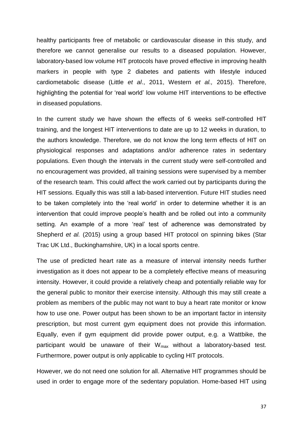healthy participants free of metabolic or cardiovascular disease in this study, and therefore we cannot generalise our results to a diseased population. However, laboratory-based low volume HIT protocols have proved effective in improving health markers in people with type 2 diabetes and patients with lifestyle induced cardiometabolic disease (Little *et al*., 2011, Western *et al.,* 2015). Therefore, highlighting the potential for 'real world' low volume HIT interventions to be effective in diseased populations.

In the current study we have shown the effects of 6 weeks self-controlled HIT training, and the longest HIT interventions to date are up to 12 weeks in duration, to the authors knowledge. Therefore, we do not know the long term effects of HIT on physiological responses and adaptations and/or adherence rates in sedentary populations. Even though the intervals in the current study were self-controlled and no encouragement was provided, all training sessions were supervised by a member of the research team. This could affect the work carried out by participants during the HIT sessions. Equally this was still a lab-based intervention. Future HIT studies need to be taken completely into the 'real world' in order to determine whether it is an intervention that could improve people's health and be rolled out into a community setting. An example of a more 'real' test of adherence was demonstrated by Shepherd *et al.* (2015) using a group based HIT protocol on spinning bikes (Star Trac UK Ltd., Buckinghamshire, UK) in a local sports centre.

The use of predicted heart rate as a measure of interval intensity needs further investigation as it does not appear to be a completely effective means of measuring intensity. However, it could provide a relatively cheap and potentially reliable way for the general public to monitor their exercise intensity. Although this may still create a problem as members of the public may not want to buy a heart rate monitor or know how to use one. Power output has been shown to be an important factor in intensity prescription, but most current gym equipment does not provide this information. Equally, even if gym equipment did provide power output, e.g. a Wattbike, the participant would be unaware of their  $W_{\text{max}}$  without a laboratory-based test. Furthermore, power output is only applicable to cycling HIT protocols.

However, we do not need one solution for all. Alternative HIT programmes should be used in order to engage more of the sedentary population. Home-based HIT using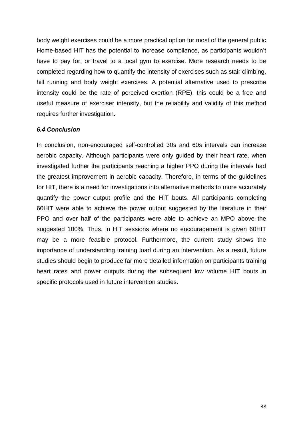body weight exercises could be a more practical option for most of the general public. Home-based HIT has the potential to increase compliance, as participants wouldn't have to pay for, or travel to a local gym to exercise. More research needs to be completed regarding how to quantify the intensity of exercises such as stair climbing, hill running and body weight exercises. A potential alternative used to prescribe intensity could be the rate of perceived exertion (RPE), this could be a free and useful measure of exerciser intensity, but the reliability and validity of this method requires further investigation.

#### <span id="page-37-0"></span>*6.4 Conclusion*

In conclusion, non-encouraged self-controlled 30s and 60s intervals can increase aerobic capacity. Although participants were only guided by their heart rate, when investigated further the participants reaching a higher PPO during the intervals had the greatest improvement in aerobic capacity. Therefore, in terms of the guidelines for HIT, there is a need for investigations into alternative methods to more accurately quantify the power output profile and the HIT bouts. All participants completing 60HIT were able to achieve the power output suggested by the literature in their PPO and over half of the participants were able to achieve an MPO above the suggested 100%. Thus, in HIT sessions where no encouragement is given 60HIT may be a more feasible protocol. Furthermore, the current study shows the importance of understanding training load during an intervention. As a result, future studies should begin to produce far more detailed information on participants training heart rates and power outputs during the subsequent low volume HIT bouts in specific protocols used in future intervention studies.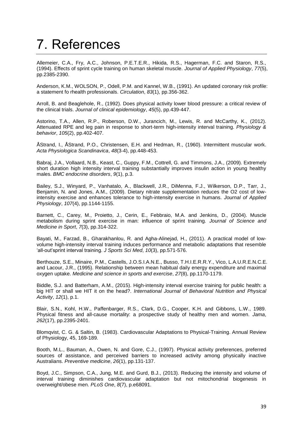### <span id="page-38-0"></span>7. References

Allemeier, C.A., Fry, A.C., Johnson, P.E.T.E.R., Hikida, R.S., Hagerman, F.C. and Staron, R.S., (1994). Effects of sprint cycle training on human skeletal muscle. *Journal of Applied Physiology*, *77*(5), pp.2385-2390.

Anderson, K.M., WOLSON, P., Odell, P.M. and Kannel, W.B., (1991). An updated coronary risk profile: a statement fo rhealth professionals. *Circulation*, *83*(1), pp.356-362.

Arroll, B. and Beaglehole, R., (1992). Does physical activity lower blood pressure: a critical review of the clinical trials. *Journal of clinical epidemiology*, *45*(5), pp.439-447.

Astorino, T.A., Allen, R.P., Roberson, D.W., Jurancich, M., Lewis, R. and McCarthy, K., (2012). Attenuated RPE and leg pain in response to short-term high-intensity interval training. *Physiology & behavior*, *105*(2), pp.402-407.

ÅStrand, I., ÅStrand, P.O., Christensen, E.H. and Hedman, R., (1960). Intermittent muscular work. *Acta Physiologica Scandinavica*, *48*(3‐4), pp.448-453.

Babraj, J.A., Vollaard, N.B., Keast, C., Guppy, F.M., Cottrell, G. and Timmons, J.A., (2009). Extremely short duration high intensity interval training substantially improves insulin action in young healthy males. *BMC endocrine disorders*, *9*(1), p.3.

Bailey, S.J., Winyard, P., Vanhatalo, A., Blackwell, J.R., DiMenna, F.J., Wilkerson, D.P., Tarr, J., Benjamin, N. and Jones, A.M., (2009). Dietary nitrate supplementation reduces the O2 cost of lowintensity exercise and enhances tolerance to high-intensity exercise in humans. *Journal of Applied Physiology*, *107*(4), pp.1144-1155.

Barnett, C., Carey, M., Proietto, J., Cerin, E., Febbraio, M.A. and Jenkins, D., (2004). Muscle metabolism during sprint exercise in man: influence of sprint training. *Journal of Science and Medicine in Sport*, *7*(3), pp.314-322.

Bayati, M., Farzad, B., Gharakhanlou, R. and Agha-Alinejad, H., (2011). A practical model of lowvolume high-intensity interval training induces performance and metabolic adaptations that resemble 'all-out'sprint interval training. *J Sports Sci Med*, *10*(3), pp.571-576.

Berthouze, S.E., Minaire, P.M., Castells, J.O.S.I.A.N.E., Busso, T.H.I.E.R.R.Y., Vico, L.A.U.R.E.N.C.E. and Lacour, J.R., (1995). Relationship between mean habitual daily energy expenditure and maximal oxygen uptake. *Medicine and science in sports and exercise*, *27*(8), pp.1170-1179.

Biddle, S.J. and Batterham, A.M., (2015). High-intensity interval exercise training for public health: a big HIT or shall we HIT it on the head?. *International Journal of Behavioral Nutrition and Physical Activity*, *12*(1), p.1.

Blair, S.N., Kohl, H.W., Paffenbarger, R.S., Clark, D.G., Cooper, K.H. and Gibbons, L.W., 1989. Physical fitness and all-cause mortality: a prospective study of healthy men and women. *Jama*, *262*(17), pp.2395-2401.

Blomqvist, C. G. & Saltin, B. (1983). Cardiovascular Adaptations to Physical-Training. Annual Review of Physiology, 45, 169-189.

Booth, M.L., Bauman, A., Owen, N. and Gore, C.J., (1997). Physical activity preferences, preferred sources of assistance, and perceived barriers to increased activity among physically inactive Australians. *Preventive medicine*, *26*(1), pp.131-137.

Boyd, J.C., Simpson, C.A., Jung, M.E. and Gurd, B.J., (2013). Reducing the intensity and volume of interval training diminishes cardiovascular adaptation but not mitochondrial biogenesis in overweight/obese men. *PLoS One*, *8*(7), p.e68091.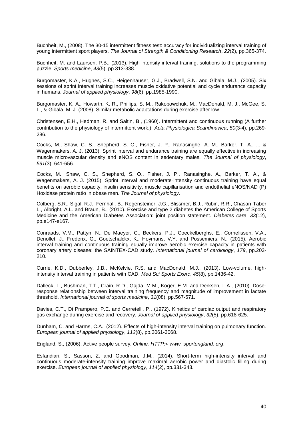Buchheit, M., (2008). The 30-15 intermittent fitness test: accuracy for individualizing interval training of young intermittent sport players. *The Journal of Strength & Conditioning Research*, *22*(2), pp.365-374.

Buchheit, M. and Laursen, P.B., (2013). High-intensity interval training, solutions to the programming puzzle. *Sports medicine*, *43*(5), pp.313-338.

Burgomaster, K.A., Hughes, S.C., Heigenhauser, G.J., Bradwell, S.N. and Gibala, M.J., (2005). Six sessions of sprint interval training increases muscle oxidative potential and cycle endurance capacity in humans. *Journal of applied physiology*, *98*(6), pp.1985-1990.

Burgomaster, K. A., Howarth, K. R., Phillips, S. M., Rakobowchuk, M., MacDonald, M. J., McGee, S. L., & Gibala, M. J. (2008). Similar metabolic adaptations during exercise after low

Christensen, E.H., Hedman, R. and Saltin, B., (1960). Intermittent and continuous running (A further contribution to the physiology of intermittent work.). *Acta Physiologica Scandinavica*, *50*(3‐4), pp.269- 286.

Cocks, M., Shaw, C. S., Shepherd, S. O., Fisher, J. P., Ranasinghe, A. M., Barker, T. A., ... & Wagenmakers, A. J. (2013). Sprint interval and endurance training are equally effective in increasing muscle microvascular density and eNOS content in sedentary males. *The Journal of physiology*, *591*(3), 641-656.

Cocks, M., Shaw, C. S., Shepherd, S. O., Fisher, J. P., Ranasinghe, A., Barker, T. A., & Wagenmakers, A. J. (2015). Sprint interval and moderate-intensity continuous training have equal benefits on aerobic capacity, insulin sensitivity, muscle capillarisation and endothelial eNOS/NAD (P) Hoxidase protein ratio in obese men. *The Journal of physiology*.

Colberg, S.R., Sigal, R.J., Fernhall, B., Regensteiner, J.G., Blissmer, B.J., Rubin, R.R., Chasan-Taber, L., Albright, A.L. and Braun, B., (2010). Exercise and type 2 diabetes the American College of Sports Medicine and the American Diabetes Association: joint position statement. *Diabetes care*, *33*(12), pp.e147-e167.

Conraads, V.M., Pattyn, N., De Maeyer, C., Beckers, P.J., Coeckelberghs, E., Cornelissen, V.A., Denollet, J., Frederix, G., Goetschalckx, K., Hoymans, V.Y. and Possemiers, N., (2015). Aerobic interval training and continuous training equally improve aerobic exercise capacity in patients with coronary artery disease: the SAINTEX-CAD study. *International journal of cardiology*, *179*, pp.203- 210.

Currie, K.D., Dubberley, J.B., McKelvie, R.S. and MacDonald, M.J., (2013). Low-volume, highintensity interval training in patients with CAD. *Med Sci Sports Exerc*, *45*(8), pp.1436-42.

Dalleck, L., Bushman, T.T., Crain, R.D., Gajda, M.M., Koger, E.M. and Derksen, L.A., (2010). Doseresponse relationship between interval training frequency and magnitude of improvement in lactate threshold. *International journal of sports medicine*, *31*(08), pp.567-571.

Davies, C.T., Di Prampero, P.E. and Cerretelli, P., (1972). Kinetics of cardiac output and respiratory gas exchange during exercise and recovery. *Journal of applied physiology*, *32*(5), pp.618-625.

Dunham, C. and Harms, C.A., (2012). Effects of high-intensity interval training on pulmonary function. *European journal of applied physiology*, *112*(8), pp.3061-3068.

England, S., (2006). Active people survey. *Online. HTTP:< www. sportengland. org*.

Esfandiari, S., Sasson, Z. and Goodman, J.M., (2014). Short-term high-intensity interval and continuous moderate-intensity training improve maximal aerobic power and diastolic filling during exercise. *European journal of applied physiology*, *114*(2), pp.331-343.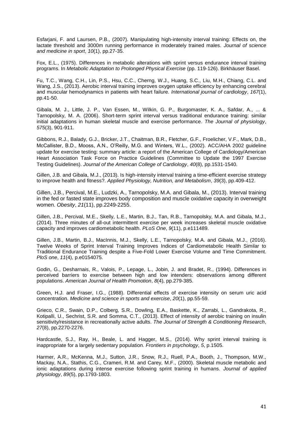Esfarjani, F. and Laursen, P.B., (2007). Manipulating high-intensity interval training: Effects on, the lactate threshold and 3000m running performance in moderately trained males. *Journal of science and medicine in sport*, *10*(1), pp.27-35.

Fox, E.L., (1975). Differences in metabolic alterations with sprint versus endurance interval training programs. In *Metabolic Adaptation to Prolonged Physical Exercise* (pp. 119-126). Birkhäuser Basel.

Fu, T.C., Wang, C.H., Lin, P.S., Hsu, C.C., Cherng, W.J., Huang, S.C., Liu, M.H., Chiang, C.L. and Wang, J.S., (2013). Aerobic interval training improves oxygen uptake efficiency by enhancing cerebral and muscular hemodynamics in patients with heart failure. *International journal of cardiology*, *167*(1), pp.41-50.

Gibala, M. J., Little, J. P., Van Essen, M., Wilkin, G. P., Burgomaster, K. A., Safdar, A., ... & Tarnopolsky, M. A. (2006). Short‐term sprint interval versus traditional endurance training: similar initial adaptations in human skeletal muscle and exercise performance. *The Journal of physiology*, *575*(3), 901-911.

Gibbons, R.J., Balady, G.J., Bricker, J.T., Chaitman, B.R., Fletcher, G.F., Froelicher, V.F., Mark, D.B., McCallister, B.D., Mooss, A.N., O'Reilly, M.G. and Winters, W.L., (2002). ACC/AHA 2002 guideline update for exercise testing: summary article: a report of the American College of Cardiology/American Heart Association Task Force on Practice Guidelines (Committee to Update the 1997 Exercise Testing Guidelines). *Journal of the American College of Cardiology*, *40*(8), pp.1531-1540.

Gillen, J.B. and Gibala, M.J., (2013). Is high-intensity interval training a time-efficient exercise strategy to improve health and fitness?. *Applied Physiology, Nutrition, and Metabolism*, *39*(3), pp.409-412.

Gillen, J.B., Percival, M.E., Ludzki, A., Tarnopolsky, M.A. and Gibala, M., (2013). Interval training in the fed or fasted state improves body composition and muscle oxidative capacity in overweight women. *Obesity*, *21*(11), pp.2249-2255.

Gillen, J.B., Percival, M.E., Skelly, L.E., Martin, B.J., Tan, R.B., Tarnopolsky, M.A. and Gibala, M.J., (2014). Three minutes of all-out intermittent exercise per week increases skeletal muscle oxidative capacity and improves cardiometabolic health. *PLoS One*, *9*(11), p.e111489.

Gillen, J.B., Martin, B.J., MacInnis, M.J., Skelly, L.E., Tarnopolsky, M.A. and Gibala, M.J., (2016). Twelve Weeks of Sprint Interval Training Improves Indices of Cardiometabolic Health Similar to Traditional Endurance Training despite a Five-Fold Lower Exercise Volume and Time Commitment. *PloS one*, *11*(4), p.e0154075.

Godin, G., Desharnais, R., Valois, P., Lepage, L., Jobin, J. and Bradet, R., (1994). Differences in perceived barriers to exercise between high and low intenders: observations among different populations. *American Journal of Health Promotion*, *8*(4), pp.279-385.

Green, H.J. and Fraser, I.G., (1988). Differential effects of exercise intensity on serum uric acid concentration. *Medicine and science in sports and exercise*, *20*(1), pp.55-59.

Grieco, C.R., Swain, D.P., Colberg, S.R., Dowling, E.A., Baskette, K., Zarrabi, L., Gandrakota, R., Kotipalli, U., Sechrist, S.R. and Somma, C.T., (2013). Effect of intensity of aerobic training on insulin sensitivity/resistance in recreationally active adults. *The Journal of Strength & Conditioning Research*, *27*(8), pp.2270-2276.

Hardcastle, S.J., Ray, H., Beale, L. and Hagger, M.S., (2014). Why sprint interval training is inappropriate for a largely sedentary population. *Frontiers in psychology*, *5*, p.1505.

Harmer, A.R., McKenna, M.J., Sutton, J.R., Snow, R.J., Ruell, P.A., Booth, J., Thompson, M.W., Mackay, N.A., Stathis, C.G., Crameri, R.M. and Carey, M.F., (2000). Skeletal muscle metabolic and ionic adaptations during intense exercise following sprint training in humans. *Journal of applied physiology*, *89*(5), pp.1793-1803.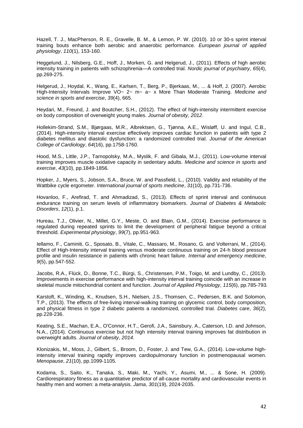Hazell, T. J., MacPherson, R. E., Gravelle, B. M., & Lemon, P. W. (2010). 10 or 30-s sprint interval training bouts enhance both aerobic and anaerobic performance. *European journal of applied physiology*, *110*(1), 153-160.

Heggelund, J., Nilsberg, G.E., Hoff, J., Morken, G. and Helgerud, J., (2011). Effects of high aerobic intensity training in patients with schizophrenia—A controlled trial. *Nordic journal of psychiatry*, *65*(4), pp.269-275.

Helgerud, J., Hoydal, K., Wang, E., Karlsen, T., Berg, P., Bjerkaas, M., ... & Hoff, J. (2007). Aerobic High-Intensity Intervals Improve VO~ 2~ m~ a~ x More Than Moderate Training. *Medicine and science in sports and exercise*, *39*(4), 665.

Heydari, M., Freund, J. and Boutcher, S.H., (2012). The effect of high-intensity intermittent exercise on body composition of overweight young males. *Journal of obesity*, *2012*.

Hollekim-Strand, S.M., Bjørgaas, M.R., Albrektsen, G., Tjønna, A.E., Wisløff, U. and Ingul, C.B., (2014). High-intensity interval exercise effectively improves cardiac function in patients with type 2 diabetes mellitus and diastolic dysfunction: a randomized controlled trial. *Journal of the American College of Cardiology*, *64*(16), pp.1758-1760.

Hood, M.S., Little, J.P., Tarnopolsky, M.A., Myslik, F. and Gibala, M.J., (2011). Low-volume interval training improves muscle oxidative capacity in sedentary adults. *Medicine and science in sports and exercise*, *43*(10), pp.1849-1856.

Hopker, J., Myers, S., Jobson, S.A., Bruce, W. and Passfield, L., (2010). Validity and reliability of the Wattbike cycle ergometer. *International journal of sports medicine*, *31*(10), pp.731-736.

Hovanloo, F., Arefirad, T. and Ahmadizad, S., (2013). Effects of sprint interval and continuous endurance training on serum levels of inflammatory biomarkers. *Journal of Diabetes & Metabolic Disorders*, *12*(1), p.1.

Hureau, T.J., Olivier, N., Millet, G.Y., Meste, O. and Blain, G.M., (2014). Exercise performance is regulated during repeated sprints to limit the development of peripheral fatigue beyond a critical threshold. *Experimental physiology*, *99*(7), pp.951-963.

Iellamo, F., Caminiti, G., Sposato, B., Vitale, C., Massaro, M., Rosano, G. and Volterrani, M., (2014). Effect of High-Intensity interval training versus moderate continuous training on 24-h blood pressure profile and insulin resistance in patients with chronic heart failure. *Internal and emergency medicine*, *9*(5), pp.547-552.

Jacobs, R.A., Flück, D., Bonne, T.C., Bürgi, S., Christensen, P.M., Toigo, M. and Lundby, C., (2013). Improvements in exercise performance with high-intensity interval training coincide with an increase in skeletal muscle mitochondrial content and function. *Journal of Applied Physiology*, *115*(6), pp.785-793.

Karstoft, K., Winding, K., Knudsen, S.H., Nielsen, J.S., Thomsen, C., Pedersen, B.K. and Solomon, T.P., (2013). The effects of free-living interval-walking training on glycemic control, body composition, and physical fitness in type 2 diabetic patients a randomized, controlled trial. *Diabetes care*, *36*(2), pp.228-236.

Keating, S.E., Machan, E.A., O'Connor, H.T., Gerofi, J.A., Sainsbury, A., Caterson, I.D. and Johnson, N.A., (2014). Continuous exercise but not high intensity interval training improves fat distribution in overweight adults. *Journal of obesity*, *2014*.

Klonizakis, M., Moss, J., Gilbert, S., Broom, D., Foster, J. and Tew, G.A., (2014). Low-volume highintensity interval training rapidly improves cardiopulmonary function in postmenopausal women. *Menopause*, *21*(10), pp.1099-1105.

Kodama, S., Saito, K., Tanaka, S., Maki, M., Yachi, Y., Asumi, M., ... & Sone, H. (2009). Cardiorespiratory fitness as a quantitative predictor of all-cause mortality and cardiovascular events in healthy men and women: a meta-analysis. *Jama*, *301*(19), 2024-2035.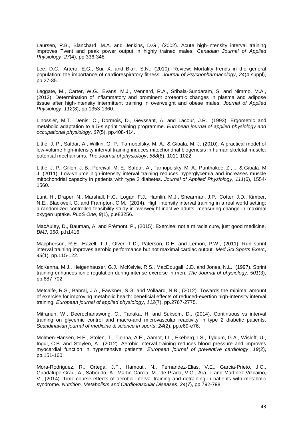Laursen, P.B., Blanchard, M.A. and Jenkins, D.G., (2002). Acute high-intensity interval training improves Tvent and peak power output in highly trained males. *Canadian Journal of Applied Physiology*, *27*(4), pp.336-348.

Lee, D.C., Artero, E.G., Sui, X. and Blair, S.N., (2010). Review: Mortality trends in the general population: the importance of cardiorespiratory fitness. *Journal of Psychopharmacology*, *24*(4 suppl), pp.27-35.

Leggate, M., Carter, W.G., Evans, M.J., Vennard, R.A., Sribala-Sundaram, S. and Nimmo, M.A., (2012). Determination of inflammatory and prominent proteomic changes in plasma and adipose tissue after high-intensity intermittent training in overweight and obese males. *Journal of Applied Physiology*, *112*(8), pp.1353-1360.

Linossier, M.T., Denis, C., Dormois, D., Geyssant, A. and Lacour, J.R., (1993). Ergometric and metabolic adaptation to a 5-s sprint training programme. *European journal of applied physiology and occupational physiology*, *67*(5), pp.408-414.

Little, J. P., Safdar, A., Wilkin, G. P., Tarnopolsky, M. A., & Gibala, M. J. (2010). A practical model of low‐volume high‐intensity interval training induces mitochondrial biogenesis in human skeletal muscle: potential mechanisms. *The Journal of physiology*, *588*(6), 1011-1022.

Little, J. P., Gillen, J. B., Percival, M. E., Safdar, A., Tarnopolsky, M. A., Punthakee, Z., ... & Gibala, M. J. (2011). Low-volume high-intensity interval training reduces hyperglycemia and increases muscle mitochondrial capacity in patients with type 2 diabetes. *Journal of Applied Physiology*, *111*(6), 1554- 1560.

Lunt, H., Draper, N., Marshall, H.C., Logan, F.J., Hamlin, M.J., Shearman, J.P., Cotter, J.D., Kimber, N.E., Blackwell, G. and Frampton, C.M., (2014). High intensity interval training in a real world setting: a randomized controlled feasibility study in overweight inactive adults, measuring change in maximal oxygen uptake. *PLoS One*, *9*(1), p.e83256.

MacAuley, D., Bauman, A. and Frémont, P., (2015). Exercise: not a miracle cure, just good medicine. *BMJ*, *350*, p.h1416.

Macpherson, R.E., Hazell, T.J., Olver, T.D., Paterson, D.H. and Lemon, P.W., (2011). Run sprint interval training improves aerobic performance but not maximal cardiac output. *Med Sci Sports Exerc*, *43*(1), pp.115-122.

McKenna, M.J., Heigenhauser, G.J., McKelvie, R.S., MacDougall, J.D. and Jones, N.L., (1997). Sprint training enhances ionic regulation during intense exercise in men. *The Journal of physiology*, *501*(3), pp.687-702.

Metcalfe, R.S., Babraj, J.A., Fawkner, S.G. and Vollaard, N.B., (2012). Towards the minimal amount of exercise for improving metabolic health: beneficial effects of reduced-exertion high-intensity interval training. *European journal of applied physiology*, *112*(7), pp.2767-2775.

Mitranun, W., Deerochanawong, C., Tanaka, H. and Suksom, D., (2014). Continuous vs interval training on glycemic control and macro‐and microvascular reactivity in type 2 diabetic patients. *Scandinavian journal of medicine & science in sports*, *24*(2), pp.e69-e76.

Molmen-Hansen, H.E., Stolen, T., Tjonna, A.E., Aamot, I.L., Ekeberg, I.S., Tyldum, G.A., Wisloff, U., Ingul, C.B. and Stoylen, A., (2012). Aerobic interval training reduces blood pressure and improves myocardial function in hypertensive patients. *European journal of preventive cardiology*, *19*(2), pp.151-160.

Mora-Rodriguez, R., Ortega, J.F., Hamouti, N., Fernandez-Elias, V.E., Garcia-Prieto, J.C., Guadalupe-Grau, A., Saborido, A., Martin-Garcia, M., de Prada, V.G., Ara, I. and Martinez-Vizcaino, V., (2014). Time-course effects of aerobic interval training and detraining in patients with metabolic syndrome. *Nutrition, Metabolism and Cardiovascular Diseases*, *24*(7), pp.792-798.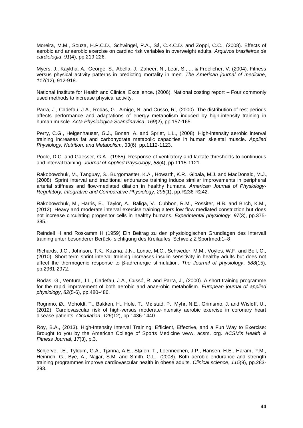Moreira, M.M., Souza, H.P.C.D., Schwingel, P.A., Sá, C.K.C.D. and Zoppi, C.C., (2008). Effects of aerobic and anaerobic exercise on cardiac risk variables in overweight adults. *Arquivos brasileiros de cardiologia*, *91*(4), pp.219-226.

Myers, J., Kaykha, A., George, S., Abella, J., Zaheer, N., Lear, S., ... & Froelicher, V. (2004). Fitness versus physical activity patterns in predicting mortality in men. *The American journal of medicine*, *117*(12), 912-918.

National Institute for Health and Clinical Excellence. (2006). National costing report – Four commonly used methods to increase physical activity.

Parra, J., Cadefau, J.A., Rodas, G., Amigo, N. and Cusso, R., (2000). The distribution of rest periods affects performance and adaptations of energy metabolism induced by high-intensity training in human muscle. *Acta Physiologica Scandinavica*, *169*(2), pp.157-165.

Perry, C.G., Heigenhauser, G.J., Bonen, A. and Spriet, L.L., (2008). High-intensity aerobic interval training increases fat and carbohydrate metabolic capacities in human skeletal muscle. *Applied Physiology, Nutrition, and Metabolism*, *33*(6), pp.1112-1123.

Poole, D.C. and Gaesser, G.A., (1985). Response of ventilatory and lactate thresholds to continuous and interval training. *Journal of Applied Physiology*, *58*(4), pp.1115-1121.

Rakobowchuk, M., Tanguay, S., Burgomaster, K.A., Howarth, K.R., Gibala, M.J. and MacDonald, M.J., (2008). Sprint interval and traditional endurance training induce similar improvements in peripheral arterial stiffness and flow-mediated dilation in healthy humans. *American Journal of Physiology-Regulatory, Integrative and Comparative Physiology*, *295*(1), pp.R236-R242.

Rakobowchuk, M., Harris, E., Taylor, A., Baliga, V., Cubbon, R.M., Rossiter, H.B. and Birch, K.M., (2012). Heavy and moderate interval exercise training alters low‐flow‐mediated constriction but does not increase circulating progenitor cells in healthy humans. *Experimental physiology*, *97*(3), pp.375- 385.

Reindell H and Roskamm H (1959) Ein Beitrag zu den physiologischen Grundlagen des Intervall training unter besonderer Berück- sichtigung des Kreilaufes. Schweiz Z Sportmed:1–8

Richards, J.C., Johnson, T.K., Kuzma, J.N., Lonac, M.C., Schweder, M.M., Voyles, W.F. and Bell, C., (2010). Short‐term sprint interval training increases insulin sensitivity in healthy adults but does not affect the thermogenic response to β‐adrenergic stimulation. *The Journal of physiology*, *588*(15), pp.2961-2972.

Rodas, G., Ventura, J.L., Cadefau, J.A., Cussó, R. and Parra, J., (2000). A short training programme for the rapid improvement of both aerobic and anaerobic metabolism. *European journal of applied physiology*, *82*(5-6), pp.480-486.

Rognmo, Ø., Moholdt, T., Bakken, H., Hole, T., Mølstad, P., Myhr, N.E., Grimsmo, J. and Wisløff, U., (2012). Cardiovascular risk of high-versus moderate-intensity aerobic exercise in coronary heart disease patients. *Circulation*, *126*(12), pp.1436-1440.

Roy, B.A., (2013). High-Intensity Interval Training: Efficient, Effective, and a Fun Way to Exercise: Brought to you by the American College of Sports Medicine www. acsm. org. *ACSM's Health & Fitness Journal*, *17*(3), p.3.

Schjerve, I.E., Tyldum, G.A., Tjønna, A.E., Stølen, T., Loennechen, J.P., Hansen, H.E., Haram, P.M., Heinrich, G., Bye, A., Najjar, S.M. and Smith, G.L., (2008). Both aerobic endurance and strength training programmes improve cardiovascular health in obese adults. *Clinical science*, *115*(9), pp.283- 293.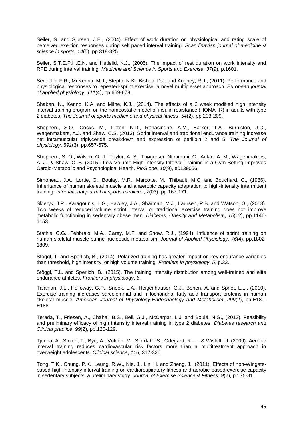Seiler, S. and Sjursen, J.E., (2004). Effect of work duration on physiological and rating scale of perceived exertion responses during self‐paced interval training. *Scandinavian journal of medicine & science in sports*, *14*(5), pp.318-325.

Seiler, S.T.E.P.H.E.N. and Hetlelid, K.J., (2005). The impact of rest duration on work intensity and RPE during interval training. *Medicine and Science in Sports and Exercise*, *37*(9), p.1601.

Serpiello, F.R., McKenna, M.J., Stepto, N.K., Bishop, D.J. and Aughey, R.J., (2011). Performance and physiological responses to repeated-sprint exercise: a novel multiple-set approach. *European journal of applied physiology*, *111*(4), pp.669-678.

Shaban, N., Kenno, K.A. and Milne, K.J., (2014). The effects of a 2 week modified high intensity interval training program on the homeostatic model of insulin resistance (HOMA-IR) in adults with type 2 diabetes. *The Journal of sports medicine and physical fitness*, *54*(2), pp.203-209.

Shepherd, S.O., Cocks, M., Tipton, K.D., Ranasinghe, A.M., Barker, T.A., Burniston, J.G., Wagenmakers, A.J. and Shaw, C.S. (2013). Sprint interval and traditional endurance training increase net intramuscular triglyceride breakdown and expression of perilipin 2 and 5. *The Journal of physiology*, *591*(3), pp.657-675.

Shepherd, S. O., Wilson, O. J., Taylor, A. S., Thøgersen-Ntoumani, C., Adlan, A. M., Wagenmakers, A. J., & Shaw, C. S. (2015). Low-Volume High-Intensity Interval Training in a Gym Setting Improves Cardio-Metabolic and Psychological Health. *PloS one*, *10*(9), e0139056.

Simoneau, J.A., Lortie, G., Boulay, M.R., Marcotte, M., Thibault, M.C. and Bouchard, C., (1986). Inheritance of human skeletal muscle and anaerobic capacity adaptation to high-intensity intermittent training. *International journal of sports medicine*, *7*(03), pp.167-171.

Skleryk, J.R., Karagounis, L.G., Hawley, J.A., Sharman, M.J., Laursen, P.B. and Watson, G., (2013). Two weeks of reduced‐volume sprint interval or traditional exercise training does not improve metabolic functioning in sedentary obese men. *Diabetes, Obesity and Metabolism*, *15*(12), pp.1146- 1153.

Stathis, C.G., Febbraio, M.A., Carey, M.F. and Snow, R.J., (1994). Influence of sprint training on human skeletal muscle purine nucleotide metabolism. *Journal of Applied Physiology*, *76*(4), pp.1802- 1809.

Stöggl, T. and Sperlich, B., (2014). Polarized training has greater impact on key endurance variables than threshold, high intensity, or high volume training. *Frontiers in physiology*, *5*, p.33.

Stöggl, T.L. and Sperlich, B., (2015). The training intensity distribution among well-trained and elite endurance athletes. *Frontiers in physiology*, *6*.

Talanian, J.L., Holloway, G.P., Snook, L.A., Heigenhauser, G.J., Bonen, A. and Spriet, L.L., (2010). Exercise training increases sarcolemmal and mitochondrial fatty acid transport proteins in human skeletal muscle. *American Journal of Physiology-Endocrinology and Metabolism*, *299*(2), pp.E180- E188.

Terada, T., Friesen, A., Chahal, B.S., Bell, G.J., McCargar, L.J. and Boulé, N.G., (2013). Feasibility and preliminary efficacy of high intensity interval training in type 2 diabetes. *Diabetes research and Clinical practice*, *99*(2), pp.120-129.

Tjonna, A., Stolen, T., Bye, A., Volden, M., Slordahl, S., Odegard, R., ... & Wisloff, U. (2009). Aerobic interval training reduces cardiovascular risk factors more than a multitreatment approach in overweight adolescents. *Clinical science*, *116*, 317-326.

Tong, T.K., Chung, P.K., Leung, R.W., Nie, J., Lin, H. and Zheng, J., (2011). Effects of non-Wingatebased high-intensity interval training on cardiorespiratory fitness and aerobic-based exercise capacity in sedentary subjects: a preliminary study. *Journal of Exercise Science & Fitness*, *9*(2), pp.75-81.